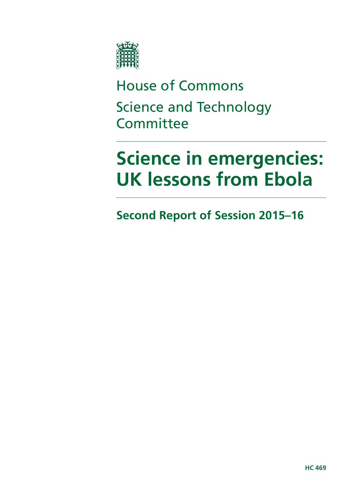

House of Commons Science and Technology **Committee** 

# **Science in emergencies: UK lessons from Ebola**

**Second Report of Session 2015–16**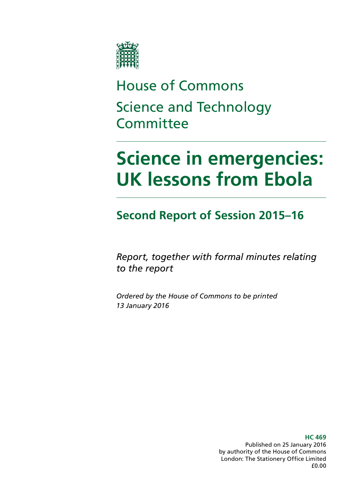

# House of Commons Science and Technology **Committee**

# **Science in emergencies: UK lessons from Ebola**

**Second Report of Session 2015–16**

*Report, together with formal minutes relating to the report*

*Ordered by the House of Commons to be printed 13 January 2016*

> **HC 469** Published on 25 January 2016 by authority of the House of Commons London: The Stationery Office Limited £0.00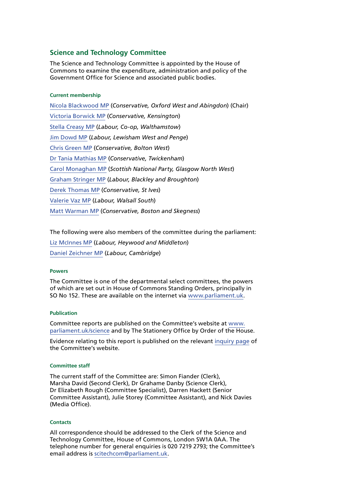#### **Science and Technology Committee**

The Science and Technology Committee is appointed by the House of Commons to examine the expenditure, administration and policy of the Government Office for Science and associated public bodies.

#### **Current membership**

[Nicola Blackwood MP](http://www.parliament.uk/biographies/commons/nicola-blackwood/4019) (*Conservative, Oxford West and Abingdon*) (Chair) [Victoria Borwick MP](http://www.parliament.uk/biographies/commons/victoria-borwick/4502) (*Conservative, Kensington*) [Stella Creasy MP](http://www.parliament.uk/biographies/commons/stella-creasy/4088) (*Labour, Co-op, Walthamstow*) [Jim Dowd MP](http://www.parliament.uk/biographies/commons/jim-dowd/189) (*Labour, Lewisham West and Penge*) [Chris Green MP](http://www.parliament.uk/biographies/commons/chris-green/4398) (*Conservative, Bolton West*) [Dr Tania Mathias MP](http://www.parliament.uk/biographies/commons/dr-tania-mathias/4404) (*Conservative, Twickenham*) [Carol Monaghan MP](http://www.parliament.uk/biographies/commons/carol-monaghan/4443) (*Scottish National Party, Glasgow North West*) [Graham Stringer MP](http://www.parliament.uk/biographies/commons/graham-stringer/449) (*Labour, Blackley and Broughton*) [Derek Thomas MP](http://www.parliament.uk/biographies/commons/derek-thomas/4532) (*Conservative, St Ives*) [Valerie Vaz MP](http://www.parliament.uk/biographies/commons/valerie-vaz/4076) (*Labour, Walsall South*) [Matt Warman MP](http://www.parliament.uk/biographies/commons/matt-warman/4361) (*Conservative, Boston and Skegness*)

The following were also members of the committee during the parliament:

[Liz McInnes MP](http://www.parliament.uk/biographies/commons/liz-mcinnes/4342) (*Labour, Heywood and Middleton*) [Daniel Zeichner MP](http://www.parliament.uk/biographies/commons/daniel-zeichner/4382) (*Labour, Cambridge*)

#### **Powers**

The Committee is one of the departmental select committees, the powers of which are set out in House of Commons Standing Orders, principally in SO No 152. These are available on the internet via [www.parliament.uk](http://www.parliament.uk).

#### **Publication**

Committee reports are published on the Committee's website at [www.](http://www.parliament.uk/science) [parliament.uk/science](http://www.parliament.uk/science) and by The Stationery Office by Order of the House.

Evidence relating to this report is published on the relevant [inquiry page](http://www.parliament.uk/business/committees/committees-a-z/commons-select/science-and-technology-committee/inquiries/parliament-2015/science-in-emergencies/) of the Committee's website.

#### **Committee staff**

The current staff of the Committee are: Simon Fiander (Clerk), Marsha David (Second Clerk), Dr Grahame Danby (Science Clerk), Dr Elizabeth Rough (Committee Specialist), Darren Hackett (Senior Committee Assistant), Julie Storey (Committee Assistant), and Nick Davies (Media Office).

#### **Contacts**

All correspondence should be addressed to the Clerk of the Science and Technology Committee, House of Commons, London SW1A 0AA. The telephone number for general enquiries is 020 7219 2793; the Committee's email address is [scitechcom@parliament.uk.](mailto:scitechcom%40parliament.uk?subject=)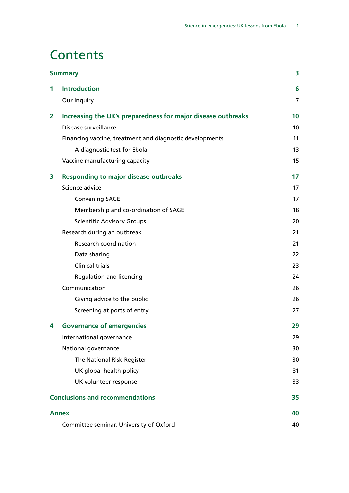### **Contents**

|              | <b>Summary</b>                                               | 3               |
|--------------|--------------------------------------------------------------|-----------------|
| 1            | <b>Introduction</b>                                          | 6               |
|              | Our inquiry                                                  | 7               |
| 2            | Increasing the UK's preparedness for major disease outbreaks | 10              |
|              | Disease surveillance                                         | 10 <sup>°</sup> |
|              | Financing vaccine, treatment and diagnostic developments     | 11              |
|              | A diagnostic test for Ebola                                  | 13              |
|              | Vaccine manufacturing capacity                               | 15              |
| 3            | <b>Responding to major disease outbreaks</b>                 | 17              |
|              | Science advice                                               | 17              |
|              | <b>Convening SAGE</b>                                        | 17              |
|              | Membership and co-ordination of SAGE                         | 18              |
|              | <b>Scientific Advisory Groups</b>                            | 20              |
|              | Research during an outbreak                                  | 21              |
|              | Research coordination                                        | 21              |
|              | Data sharing                                                 | 22              |
|              | <b>Clinical trials</b>                                       | 23              |
|              | <b>Regulation and licencing</b>                              | 24              |
|              | Communication                                                | 26              |
|              | Giving advice to the public                                  | 26              |
|              | Screening at ports of entry                                  | 27              |
| 4            | <b>Governance of emergencies</b>                             | 29              |
|              | International governance                                     | 29              |
|              | National governance                                          | 30              |
|              | The National Risk Register                                   | 30              |
|              | UK global health policy                                      | 31              |
|              | UK volunteer response                                        | 33              |
|              | <b>Conclusions and recommendations</b>                       | 35              |
| <b>Annex</b> |                                                              |                 |
|              | Committee seminar, University of Oxford                      | 40              |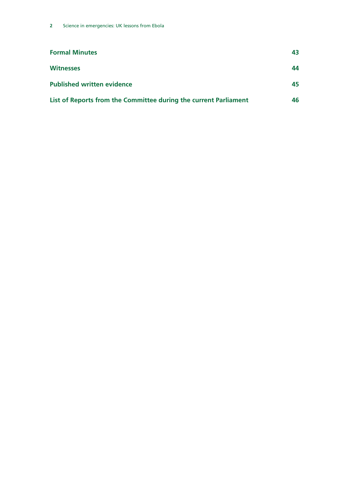| <b>Formal Minutes</b>                                            | 43 |
|------------------------------------------------------------------|----|
| <b>Witnesses</b>                                                 | 44 |
| <b>Published written evidence</b>                                | 45 |
| List of Reports from the Committee during the current Parliament | 46 |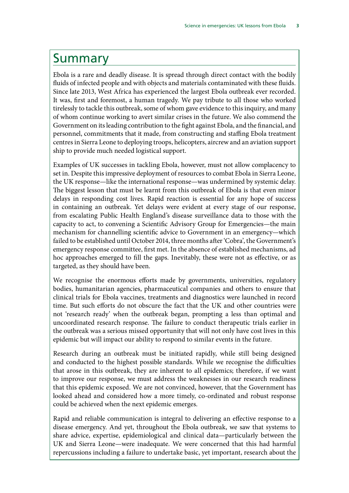### <span id="page-6-0"></span>Summary

Ebola is a rare and deadly disease. It is spread through direct contact with the bodily fluids of infected people and with objects and materials contaminated with these fluids. Since late 2013, West Africa has experienced the largest Ebola outbreak ever recorded. It was, first and foremost, a human tragedy. We pay tribute to all those who worked tirelessly to tackle this outbreak, some of whom gave evidence to this inquiry, and many of whom continue working to avert similar crises in the future. We also commend the Government on its leading contribution to the fight against Ebola, and the financial, and personnel, commitments that it made, from constructing and staffing Ebola treatment centres in Sierra Leone to deploying troops, helicopters, aircrew and an aviation support ship to provide much needed logistical support.

Examples of UK successes in tackling Ebola, however, must not allow complacency to set in. Despite this impressive deployment of resources to combat Ebola in Sierra Leone, the UK response—like the international response—was undermined by systemic delay. The biggest lesson that must be learnt from this outbreak of Ebola is that even minor delays in responding cost lives. Rapid reaction is essential for any hope of success in containing an outbreak. Yet delays were evident at every stage of our response, from escalating Public Health England's disease surveillance data to those with the capacity to act, to convening a Scientific Advisory Group for Emergencies—the main mechanism for channelling scientific advice to Government in an emergency—which failed to be established until October 2014, three months after 'Cobra', the Government's emergency response committee, first met. In the absence of established mechanisms, ad hoc approaches emerged to fill the gaps. Inevitably, these were not as effective, or as targeted, as they should have been.

We recognise the enormous efforts made by governments, universities, regulatory bodies, humanitarian agencies, pharmaceutical companies and others to ensure that clinical trials for Ebola vaccines, treatments and diagnostics were launched in record time. But such efforts do not obscure the fact that the UK and other countries were not 'research ready' when the outbreak began, prompting a less than optimal and uncoordinated research response. The failure to conduct therapeutic trials earlier in the outbreak was a serious missed opportunity that will not only have cost lives in this epidemic but will impact our ability to respond to similar events in the future.

Research during an outbreak must be initiated rapidly, while still being designed and conducted to the highest possible standards. While we recognise the difficulties that arose in this outbreak, they are inherent to all epidemics; therefore, if we want to improve our response, we must address the weaknesses in our research readiness that this epidemic exposed. We are not convinced, however, that the Government has looked ahead and considered how a more timely, co-ordinated and robust response could be achieved when the next epidemic emerges.

Rapid and reliable communication is integral to delivering an effective response to a disease emergency. And yet, throughout the Ebola outbreak, we saw that systems to share advice, expertise, epidemiological and clinical data—particularly between the UK and Sierra Leone—were inadequate. We were concerned that this had harmful repercussions including a failure to undertake basic, yet important, research about the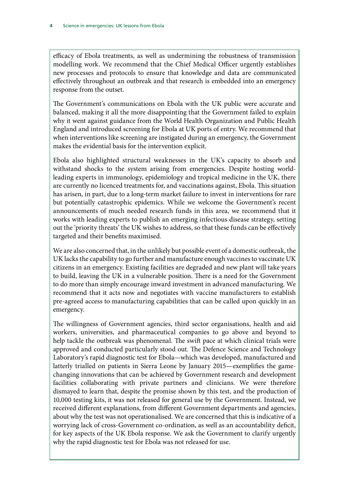efficacy of Ebola treatments, as well as undermining the robustness of transmission modelling work. We recommend that the Chief Medical Officer urgently establishes new processes and protocols to ensure that knowledge and data are communicated effectively throughout an outbreak and that research is embedded into an emergency response from the outset.

The Government's communications on Ebola with the UK public were accurate and balanced, making it all the more disappointing that the Government failed to explain why it went against guidance from the World Health Organization and Public Health England and introduced screening for Ebola at UK ports of entry. We recommend that when interventions like screening are instigated during an emergency, the Government makes the evidential basis for the intervention explicit.

Ebola also highlighted structural weaknesses in the UK's capacity to absorb and withstand shocks to the system arising from emergencies. Despite hosting worldleading experts in immunology, epidemiology and tropical medicine in the UK, there are currently no licenced treatments for, and vaccinations against, Ebola. This situation has arisen, in part, due to a long-term market failure to invest in interventions for rare but potentially catastrophic epidemics. While we welcome the Government's recent announcements of much needed research funds in this area, we recommend that it works with leading experts to publish an emerging infectious disease strategy, setting out the 'priority threats' the UK wishes to address, so that these funds can be effectively targeted and their benefits maximised.

We are also concerned that, in the unlikely but possible event of a domestic outbreak, the UK lacks the capability to go further and manufacture enough vaccines to vaccinate UK citizens in an emergency. Existing facilities are degraded and new plant will take years to build, leaving the UK in a vulnerable position. There is a need for the Government to do more than simply encourage inward investment in advanced manufacturing. We recommend that it acts now and negotiates with vaccine manufacturers to establish pre-agreed access to manufacturing capabilities that can be called upon quickly in an emergency.

The willingness of Government agencies, third sector organisations, health and aid workers, universities, and pharmaceutical companies to go above and beyond to help tackle the outbreak was phenomenal. The swift pace at which clinical trials were approved and conducted particularly stood out. The Defence Science and Technology Laboratory's rapid diagnostic test for Ebola—which was developed, manufactured and latterly trialled on patients in Sierra Leone by January 2015—exemplifies the gamechanging innovations that can be achieved by Government research and development facilities collaborating with private partners and clinicians. We were therefore dismayed to learn that, despite the promise shown by this test, and the production of 10,000 testing kits, it was not released for general use by the Government. Instead, we received different explanations, from different Government departments and agencies, about why the test was not operationalised. We are concerned that this is indicative of a worrying lack of cross-Government co-ordination, as well as an accountability deficit, for key aspects of the UK Ebola response. We ask the Government to clarify urgently why the rapid diagnostic test for Ebola was not released for use.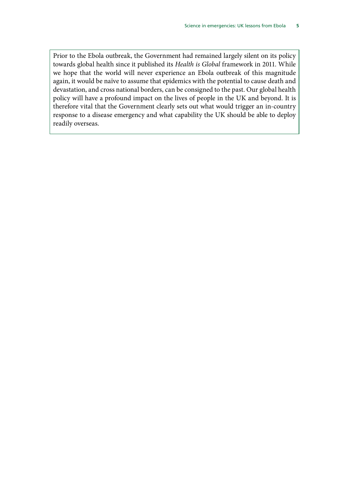Prior to the Ebola outbreak, the Government had remained largely silent on its policy towards global health since it published its *Health is Global* framework in 2011. While we hope that the world will never experience an Ebola outbreak of this magnitude again, it would be naïve to assume that epidemics with the potential to cause death and devastation, and cross national borders, can be consigned to the past. Our global health policy will have a profound impact on the lives of people in the UK and beyond. It is therefore vital that the Government clearly sets out what would trigger an in-country response to a disease emergency and what capability the UK should be able to deploy readily overseas.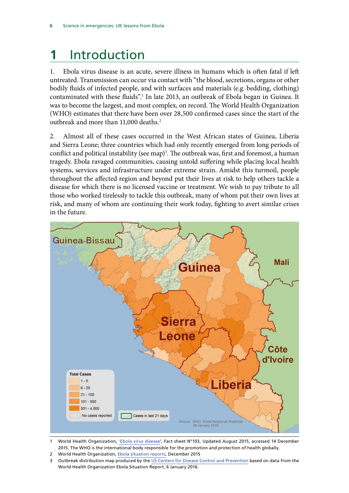# <span id="page-9-0"></span>**1** Introduction

1. Ebola virus disease is an acute, severe illness in humans which is often fatal if left untreated. Transmission can occur via contact with "the blood, secretions, organs or other bodily fluids of infected people, and with surfaces and materials (e.g. bedding, clothing) contaminated with these fluids".1 In late 2013, an outbreak of Ebola began in Guinea. It was to become the largest, and most complex, on record. The World Health Organization (WHO) estimates that there have been over 28,500 confirmed cases since the start of the outbreak and more than 11,000 deaths.<sup>2</sup>

2. Almost all of these cases occurred in the West African states of Guinea, Liberia and Sierra Leone; three countries which had only recently emerged from long periods of conflict and political instability (see map)<sup>3</sup>. The outbreak was, first and foremost, a human tragedy. Ebola ravaged communities, causing untold suffering while placing local health systems, services and infrastructure under extreme strain. Amidst this turmoil, people throughout the affected region and beyond put their lives at risk to help others tackle a disease for which there is no licensed vaccine or treatment. We wish to pay tribute to all those who worked tirelessly to tackle this outbreak, many of whom put their own lives at risk, and many of whom are continuing their work today, fighting to avert similar crises in the future.



1 World Health Organization, ['Ebola virus disease](http://www.who.int/mediacentre/factsheets/fs103/en/)', Fact sheet N°103, Updated August 2015, accessed 14 December 2015. The WHO is the international body responsible for the promotion and protection of health globally.

- 2 World Health Organization, [Ebola situation reports,](http://apps.who.int/ebola/ebola-situation-reports) December 2015
- 3 Outbreak distribution map produced by the [US Centers for Disease Control and Prevention](http://www.cdc.gov/vhf/ebola/outbreaks/2014-west-africa/distribution-map.html) based on data from the World Health Organization Ebola Situation Report, 6 January 2016.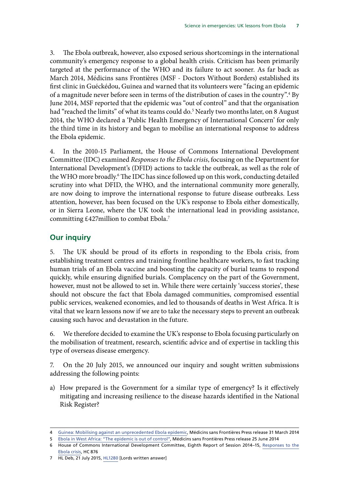<span id="page-10-0"></span>3. The Ebola outbreak, however, also exposed serious shortcomings in the international community's emergency response to a global health crisis. Criticism has been primarily targeted at the performance of the WHO and its failure to act sooner. As far back as March 2014, Médicins sans Frontières (MSF - Doctors Without Borders) established its first clinic in Guéckédou, Guinea and warned that its volunteers were "facing an epidemic of a magnitude never before seen in terms of the distribution of cases in the country".<sup>4</sup> By June 2014, MSF reported that the epidemic was "out of control" and that the organisation had "reached the limits" of what its teams could do.<sup>5</sup> Nearly two months later, on 8 August 2014, the WHO declared a 'Public Health Emergency of International Concern' for only the third time in its history and began to mobilise an international response to address the Ebola epidemic.

4. In the 2010-15 Parliament, the House of Commons International Development Committee (IDC) examined *Responses to the Ebola crisis*, focusing on the Department for International Development's (DFID) actions to tackle the outbreak, as well as the role of the WHO more broadly.<sup>6</sup> The IDC has since followed up on this work, conducting detailed scrutiny into what DFID, the WHO, and the international community more generally, are now doing to improve the international response to future disease outbreaks. Less attention, however, has been focused on the UK's response to Ebola either domestically, or in Sierra Leone, where the UK took the international lead in providing assistance, committing £427million to combat Ebola.7

#### **Our inquiry**

5. The UK should be proud of its efforts in responding to the Ebola crisis, from establishing treatment centres and training frontline healthcare workers, to fast tracking human trials of an Ebola vaccine and boosting the capacity of burial teams to respond quickly, while ensuring dignified burials. Complacency on the part of the Government, however, must not be allowed to set in. While there were certainly 'success stories', these should not obscure the fact that Ebola damaged communities, compromised essential public services, weakened economies, and led to thousands of deaths in West Africa. It is vital that we learn lessons now if we are to take the necessary steps to prevent an outbreak causing such havoc and devastation in the future.

6. We therefore decided to examine the UK's response to Ebola focusing particularly on the mobilisation of treatment, research, scientific advice and of expertise in tackling this type of overseas disease emergency.

7. On the 20 July 2015, we announced our inquiry and sought written submissions addressing the following points:

a) How prepared is the Government for a similar type of emergency? Is it effectively mitigating and increasing resilience to the disease hazards identified in the National Risk Register?

<sup>4</sup> [Guinea: Mobilising against an unprecedented Ebola epidemic](http://www.msf.org.uk/article/guinea-mobilising-against-unprecedented-ebola-epidemic), Médicins sans Frontières Press release 31 March 2014

<sup>5</sup> [Ebola in West Africa: "The epidemic is out of control"](http://www.msf.org.uk/article/ebola-west-africa-%E2%80%9C-epidemic-out-control%E2%80%9D), Médicins sans Frontières Press release 25 June 2014 6 House of Commons International Development Committee, Eighth Report of Session 2014–15, [Responses to the](http://www.publications.parliament.uk/pa/cm201415/cmselect/cmintdev/876/876.pdf)

[Ebola crisis](http://www.publications.parliament.uk/pa/cm201415/cmselect/cmintdev/876/876.pdf), HC 876

<sup>7</sup> HL Deb, 21 July 2015, [HL1280](http://www.parliament.uk/written-questions-answers-statements/written-question/lords/2015-07-09/HL1280) [Lords written answer]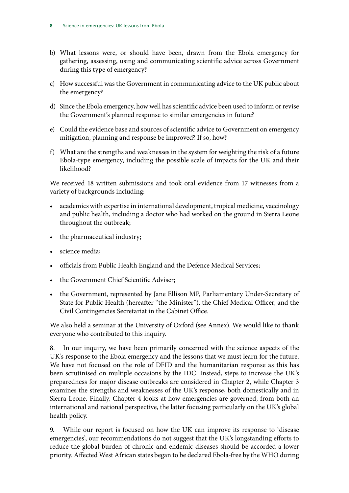- b) What lessons were, or should have been, drawn from the Ebola emergency for gathering, assessing, using and communicating scientific advice across Government during this type of emergency?
- c) How successful was the Government in communicating advice to the UK public about the emergency?
- d) Since the Ebola emergency, how well has scientific advice been used to inform or revise the Government's planned response to similar emergencies in future?
- e) Could the evidence base and sources of scientific advice to Government on emergency mitigation, planning and response be improved? If so, how?
- f) What are the strengths and weaknesses in the system for weighting the risk of a future Ebola-type emergency, including the possible scale of impacts for the UK and their likelihood?

We received 18 written submissions and took oral evidence from 17 witnesses from a variety of backgrounds including:

- academics with expertise in international development, tropical medicine, vaccinology and public health, including a doctor who had worked on the ground in Sierra Leone throughout the outbreak;
- the pharmaceutical industry;
- science media;
- officials from Public Health England and the Defence Medical Services;
- the Government Chief Scientific Adviser;
- the Government, represented by Jane Ellison MP, Parliamentary Under-Secretary of State for Public Health (hereafter "the Minister"), the Chief Medical Officer, and the Civil Contingencies Secretariat in the Cabinet Office.

We also held a seminar at the University of Oxford (see Annex). We would like to thank everyone who contributed to this inquiry.

8. In our inquiry, we have been primarily concerned with the science aspects of the UK's response to the Ebola emergency and the lessons that we must learn for the future. We have not focused on the role of DFID and the humanitarian response as this has been scrutinised on multiple occasions by the IDC. Instead, steps to increase the UK's preparedness for major disease outbreaks are considered in Chapter 2, while Chapter 3 examines the strengths and weaknesses of the UK's response, both domestically and in Sierra Leone. Finally, Chapter 4 looks at how emergencies are governed, from both an international and national perspective, the latter focusing particularly on the UK's global health policy.

9. While our report is focused on how the UK can improve its response to 'disease emergencies', our recommendations do not suggest that the UK's longstanding efforts to reduce the global burden of chronic and endemic diseases should be accorded a lower priority. Affected West African states began to be declared Ebola-free by the WHO during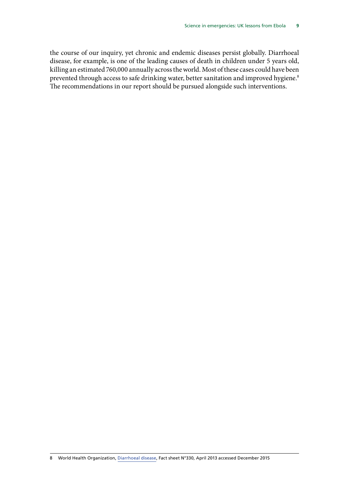the course of our inquiry, yet chronic and endemic diseases persist globally. Diarrhoeal disease, for example, is one of the leading causes of death in children under 5 years old, killing an estimated 760,000 annually across the world. Most of these cases could have been prevented through access to safe drinking water, better sanitation and improved hygiene.<sup>8</sup> The recommendations in our report should be pursued alongside such interventions.

8 World Health Organization, [Diarrhoeal disease,](http://www.who.int/mediacentre/factsheets/fs330/en/) Fact sheet N°330, April 2013 accessed December 2015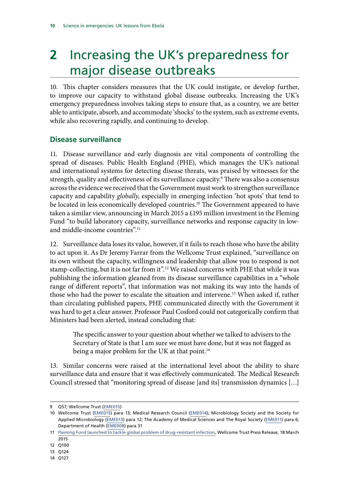# <span id="page-13-0"></span>**2** Increasing the UK's preparedness for major disease outbreaks

10. This chapter considers measures that the UK could instigate, or develop further, to improve our capacity to withstand global disease outbreaks. Increasing the UK's emergency preparedness involves taking steps to ensure that, as a country, we are better able to anticipate, absorb, and accommodate 'shocks' to the system, such as extreme events, while also recovering rapidly, and continuing to develop.

#### **Disease surveillance**

11. Disease surveillance and early diagnosis are vital components of controlling the spread of diseases. Public Health England (PHE), which manages the UK's national and international systems for detecting disease threats, was praised by witnesses for the strength, quality and effectiveness of its surveillance capacity.9 There was also a consensus across the evidence we received that the Government must work to strengthen surveillance capacity and capability *globally*, especially in emerging infection 'hot spots' that tend to be located in less economically developed countries.<sup>10</sup> The Government appeared to have taken a similar view, announcing in March 2015 a £195 million investment in the Fleming Fund "to build laboratory capacity, surveillance networks and response capacity in lowand middle-income countries".<sup>11</sup>

12. Surveillance data loses its value, however, if it fails to reach those who have the ability to act upon it. As Dr Jeremy Farrar from the Wellcome Trust explained, "surveillance on its own without the capacity, willingness and leadership that allow you to respond is not stamp-collecting, but it is not far from it".<sup>12</sup> We raised concerns with PHE that while it was publishing the information gleaned from its disease surveillance capabilities in a "whole range of different reports", that information was not making its way into the hands of those who had the power to escalate the situation and intervene.13 When asked if, rather than circulating published papers, PHE communicated directly with the Government it was hard to get a clear answer. Professor Paul Cosford could not categorically confirm that Ministers had been alerted, instead concluding that:

The specific answer to your question about whether we talked to advisers to the Secretary of State is that I am sure we must have done, but it was not flagged as being a major problem for the UK at that point.<sup>14</sup>

13. Similar concerns were raised at the international level about the ability to share surveillance data and ensure that it was effectively communicated. The Medical Research Council stressed that "monitoring spread of disease [and its] transmission dynamics […]

<sup>9</sup> Q57; Wellcome Trust [\(EME015](http://data.parliament.uk/writtenevidence/committeeevidence.svc/evidencedocument/science-and-technology-committee/science-in-emergencies/written/22137.html))

<sup>10</sup> Wellcome Trust ([EME015\)](http://data.parliament.uk/writtenevidence/committeeevidence.svc/evidencedocument/science-and-technology-committee/science-in-emergencies/written/22137.html) para 13; Medical Research Council ([EME014\)](http://data.parliament.uk/writtenevidence/committeeevidence.svc/evidencedocument/science-and-technology-committee/science-in-emergencies/written/21648.html); Microbiology Society and the Society for Applied Microbiology [\(EME013\)](http://data.parliament.uk/writtenevidence/committeeevidence.svc/evidencedocument/science-and-technology-committee/science-in-emergencies/written/21586.html) para 12; The Academy of Medical Sciences and The Royal Society [\(EME011\)](http://data.parliament.uk/writtenevidence/committeeevidence.svc/evidencedocument/science-and-technology-committee/science-in-emergencies/written/21461.html) para 6; Department of Health [\(EME008](http://data.parliament.uk/writtenevidence/committeeevidence.svc/evidencedocument/science-and-technology-committee/science-in-emergencies/written/21015.html)) para 31

<sup>11</sup> [Fleming Fund launched to tackle global problem of drug-resistant infection,](http://www.wellcome.ac.uk/News/Media-office/Press-releases/2015/WTP058933.htm) Wellcome Trust Press Release, 18 March 2015

<sup>12</sup> Q100

<sup>13</sup> Q124

<sup>14</sup> Q127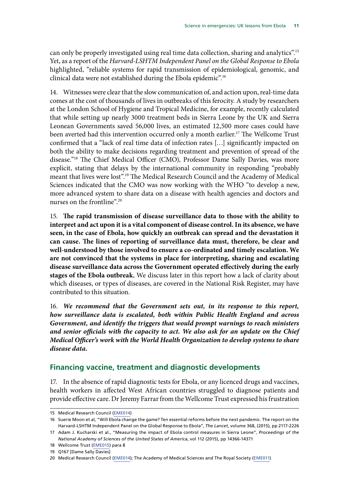<span id="page-14-0"></span>can only be properly investigated using real time data collection, sharing and analytics".15 Yet, as a report of the *Harvard-LSHTM Independent Panel on the Global Response to Ebola* highlighted, "reliable systems for rapid transmission of epidemiological, genomic, and clinical data were not established during the Ebola epidemic".16

14. Witnesses were clear that the slow communication of, and action upon, real-time data comes at the cost of thousands of lives in outbreaks of this ferocity. A study by researchers at the London School of Hygiene and Tropical Medicine, for example, recently calculated that while setting up nearly 3000 treatment beds in Sierra Leone by the UK and Sierra Leonean Governments saved 56,000 lives, an estimated 12,500 more cases could have been averted had this intervention occurred only a month earlier.17 The Wellcome Trust confirmed that a "lack of real time data of infection rates […] significantly impacted on both the ability to make decisions regarding treatment and prevention of spread of the disease."18 The Chief Medical Officer (CMO), Professor Dame Sally Davies, was more explicit, stating that delays by the international community in responding "probably meant that lives were lost".19 The Medical Research Council and the Academy of Medical Sciences indicated that the CMO was now working with the WHO "to develop a new, more advanced system to share data on a disease with health agencies and doctors and nurses on the frontline".20

<span id="page-14-1"></span>15. **The rapid transmission of disease surveillance data to those with the ability to interpret and act upon it is a vital component of disease control. In its absence, we have seen, in the case of Ebola, how quickly an outbreak can spread and the devastation it can cause. The lines of reporting of surveillance data must, therefore, be clear and well-understood by those involved to ensure a co-ordinated and timely escalation. We are not convinced that the systems in place for interpreting, sharing and escalating disease surveillance data across the Government operated effectively during the early stages of the Ebola outbreak.** We discuss later in this report how a lack of clarity about which diseases, or types of diseases, are covered in the National Risk Register, may have contributed to this situation.

<span id="page-14-2"></span>16. *We recommend that the Government sets out, in its response to this report, how surveillance data is escalated, both within Public Health England and across Government, and identify the triggers that would prompt warnings to reach ministers and senior officials with the capacity to act. We also ask for an update on the Chief Medical Officer's work with the World Health Organization to develop systems to share disease data.*

#### **Financing vaccine, treatment and diagnostic developments**

17. In the absence of rapid diagnostic tests for Ebola, or any licenced drugs and vaccines, health workers in affected West African countries struggled to diagnose patients and provide effective care. Dr Jeremy Farrar from the Wellcome Trust expressed his frustration

<sup>15</sup> Medical Research Council [\(EME014](http://data.parliament.uk/writtenevidence/committeeevidence.svc/evidencedocument/science-and-technology-committee/science-in-emergencies/written/21648.html))

<sup>16</sup> Suerie Moon et al, "Will Ebola change the game? Ten essential reforms before the next pandemic. The report on the Harvard-LSHTM Independent Panel on the Global Response to Ebola", *The Lancet*, volume 368, (2015), pp 2117-2226

<sup>17</sup> Adam J. Kucharski et al., "Measuring the impact of Ebola control measures in Sierra Leone", *Proceedings of the National Academy of Sciences of the United States of America*, vol 112 (2015), pp 14366-14371

<sup>18</sup> Wellcome Trust ([EME015\)](http://data.parliament.uk/writtenevidence/committeeevidence.svc/evidencedocument/science-and-technology-committee/science-in-emergencies/written/22137.html) para 8

<sup>19</sup> Q167 [Dame Sally Davies]

<sup>20</sup> Medical Research Council [\(EME014](http://data.parliament.uk/writtenevidence/committeeevidence.svc/evidencedocument/science-and-technology-committee/science-in-emergencies/written/21648.html)); The Academy of Medical Sciences and The Royal Society ([EME011](http://data.parliament.uk/writtenevidence/committeeevidence.svc/evidencedocument/science-and-technology-committee/science-in-emergencies/written/21461.html))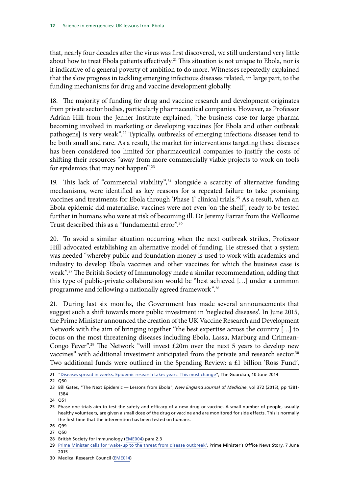that, nearly four decades after the virus was first discovered, we still understand very little about how to treat Ebola patients effectively.<sup>21</sup> This situation is not unique to Ebola, nor is it indicative of a general poverty of ambition to do more. Witnesses repeatedly explained that the slow progress in tackling emerging infectious diseases related, in large part, to the funding mechanisms for drug and vaccine development globally.

18. The majority of funding for drug and vaccine research and development originates from private sector bodies, particularly pharmaceutical companies. However, as Professor Adrian Hill from the Jenner Institute explained, "the business case for large pharma becoming involved in marketing or developing vaccines [for Ebola and other outbreak pathogens] is very weak".<sup>22</sup> Typically, outbreaks of emerging infectious diseases tend to be both small and rare. As a result, the market for interventions targeting these diseases has been considered too limited for pharmaceutical companies to justify the costs of shifting their resources "away from more commercially viable projects to work on tools for epidemics that may not happen".23

19. This lack of "commercial viability", $24$  alongside a scarcity of alternative funding mechanisms, were identified as key reasons for a repeated failure to take promising vaccines and treatments for Ebola through 'Phase 1' clinical trials.25 As a result, when an Ebola epidemic did materialise, vaccines were not even 'on the shelf', ready to be tested further in humans who were at risk of becoming ill. Dr Jeremy Farrar from the Wellcome Trust described this as a "fundamental error".26

20. To avoid a similar situation occurring when the next outbreak strikes, Professor Hill advocated establishing an alternative model of funding. He stressed that a system was needed "whereby public and foundation money is used to work with academics and industry to develop Ebola vaccines and other vaccines for which the business case is weak".27 The British Society of Immunology made a similar recommendation, adding that this type of public-private collaboration would be "best achieved […] under a common programme and following a nationally agreed framework".28

21. During last six months, the Government has made several announcements that suggest such a shift towards more public investment in 'neglected diseases'. In June 2015, the Prime Minister announced the creation of the UK Vaccine Research and Development Network with the aim of bringing together "the best expertise across the country […] to focus on the most threatening diseases including Ebola, Lassa, Marburg and Crimean-Congo Fever".<sup>29</sup> The Network "will invest  $£20m$  over the next 5 years to develop new vaccines" with additional investment anticipated from the private and research sector.<sup>30</sup> Two additional funds were outlined in the Spending Review: a £1 billion 'Ross Fund',

<sup>21</sup> ["Diseases spread in weeks. Epidemic research takes years. This must change"](http://www.theguardian.com/commentisfree/2014/jun/10/diseases-epidemic-research-outbreaks-ebola), The Guardian, 10 June 2014

<sup>22</sup> Q50

<sup>23</sup> Bill Gates, "The Next Epidemic — Lessons from Ebola", *New England Journal of Medicine*, vol 372 (2015), pp 1381- 1384

<sup>24</sup> Q51

<sup>25</sup> Phase one trials aim to test the safety and efficacy of a new drug or vaccine. A small number of people, usually healthy volunteers, are given a small dose of the drug or vaccine and are monitored for side effects. This is normally the first time that the intervention has been tested on humans.

<sup>26</sup> Q99

<sup>27</sup> Q50

<sup>28</sup> British Society for Immunology [\(EME004\)](http://data.parliament.uk/writtenevidence/committeeevidence.svc/evidencedocument/science-and-technology-committee/science-in-emergencies/written/20981.html) para 2.3

<sup>29</sup> [Prime Minister calls for 'wake-up to the threat from disease outbreak',](https://www.gov.uk/government/news/prime-minister-calls-for-wake-up-to-the-threat-from-disease-outbreak) Prime Minister's Office News Story, 7 June 2015

<sup>30</sup> Medical Research Council [\(EME014](http://data.parliament.uk/writtenevidence/committeeevidence.svc/evidencedocument/science-and-technology-committee/science-in-emergencies/written/21648.html))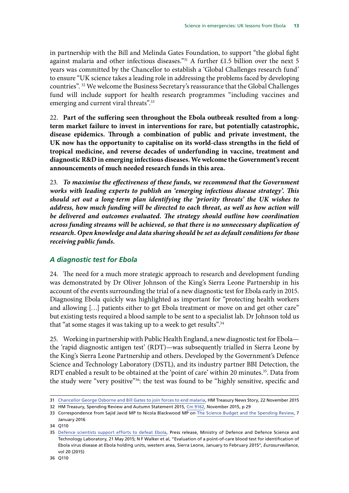<span id="page-16-0"></span>in partnership with the Bill and Melinda Gates Foundation, to support "the global fight against malaria and other infectious diseases."<sup>31</sup> A further £1.5 billion over the next 5 years was committed by the Chancellor to establish a 'Global Challenges research fund' to ensure "UK science takes a leading role in addressing the problems faced by developing countries". 32 We welcome the Business Secretary's reassurance that the Global Challenges fund will include support for health research programmes "including vaccines and emerging and current viral threats".<sup>33</sup>

<span id="page-16-1"></span>22. **Part of the suffering seen throughout the Ebola outbreak resulted from a longterm market failure to invest in interventions for rare, but potentially catastrophic, disease epidemics. Through a combination of public and private investment, the UK now has the opportunity to capitalise on its world-class strengths in the field of tropical medicine, and reverse decades of underfunding in vaccine, treatment and diagnostic R&D in emerging infectious diseases. We welcome the Government's recent announcements of much needed research funds in this area.**

<span id="page-16-2"></span>23. *To maximise the effectiveness of these funds,* **w***e recommend that the Government works with leading experts to publish an 'emerging infectious disease strategy'. This should set out a long-term plan identifying the 'priority threats' the UK wishes to*  address, how much funding will be directed to each threat, as well as how action will *be delivered and outcomes evaluated. The strategy should outline how coordination across funding streams will be achieved, so that there is no unnecessary duplication of research. Open knowledge and data sharing should be set as default conditions for those receiving public funds.*

#### *A diagnostic test for Ebola*

24. The need for a much more strategic approach to research and development funding was demonstrated by Dr Oliver Johnson of the King's Sierra Leone Partnership in his account of the events surrounding the trial of a new diagnostic test for Ebola early in 2015. Diagnosing Ebola quickly was highlighted as important for "protecting health workers and allowing […] patients either to get Ebola treatment or move on and get other care" but existing tests required a blood sample to be sent to a specialist lab. Dr Johnson told us that "at some stages it was taking up to a week to get results".<sup>34</sup>

25. Working in partnership with Public Health England, a new diagnostic test for Ebola the 'rapid diagnostic antigen test' (RDT)—was subsequently trialled in Sierra Leone by the King's Sierra Leone Partnership and others. Developed by the Government's Defence Science and Technology Laboratory (DSTL), and its industry partner BBI Detection, the RDT enabled a result to be obtained at the 'point of care' within 20 minutes.<sup>35</sup>. Data from the study were "very positive"36: the test was found to be "highly sensitive, specific and

<sup>31</sup> [Chancellor George Osborne and Bill Gates to join forces to end malaria](https://www.gov.uk/government/news/chancellor-george-osborne-and-bill-gates-to-join-forces-to-end-malaria), HM Treasury News Story, 22 November 2015

<sup>32</sup> HM Treasury, Spending Review and Autumn Statement 2015*,* [Cm 9162,](https://www.gov.uk/government/uploads/system/uploads/attachment_data/file/479749/52229_Blue_Book_PU1865_Web_Accessible.pdf) November 2015, p 29

<sup>33</sup> Correspondence from Sajid Javid MP to Nicola Blackwood MP on [The Science Budget and the Spending Review](http://www.parliament.uk/documents/commons-committees/science-technology/Correspondence/160107-BIS-TSB-SR.pdf), 7 January 2016

<sup>34</sup> Q110

<sup>35</sup> [Defence scientists support efforts to defeat Ebola](https://www.gov.uk/government/news/defence-scientists-support-efforts-to-defeat-ebola), Press release, Ministry of Defence and Defence Science and Technology Laboratory, 21 May 2015; N F Walker et al, "Evaluation of a point-of-care blood test for identification of Ebola virus disease at Ebola holding units, western area, Sierra Leone, January to February 2015", *Eurosurveillance*, vol 20 (2015)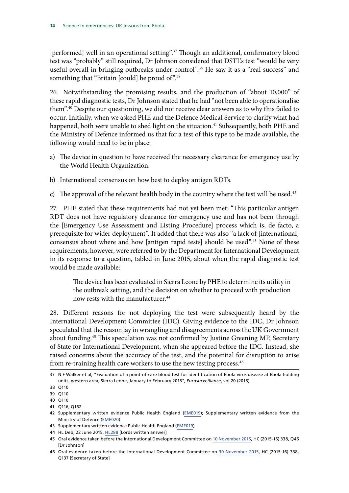[performed] well in an operational setting".<sup>37</sup> Though an additional, confirmatory blood test was "probably" still required, Dr Johnson considered that DSTL's test "would be very useful overall in bringing outbreaks under control".<sup>38</sup> He saw it as a "real success" and something that "Britain [could] be proud of".<sup>39</sup>

26. Notwithstanding the promising results, and the production of "about 10,000" of these rapid diagnostic tests, Dr Johnson stated that he had "not been able to operationalise them".40 Despite our questioning, we did not receive clear answers as to why this failed to occur. Initially, when we asked PHE and the Defence Medical Service to clarify what had happened, both were unable to shed light on the situation.<sup>41</sup> Subsequently, both PHE and the Ministry of Defence informed us that for a test of this type to be made available, the following would need to be in place:

- a) The device in question to have received the necessary clearance for emergency use by the World Health Organization.
- b) International consensus on how best to deploy antigen RDTs.
- c) The approval of the relevant health body in the country where the test will be used.<sup>42</sup>

27. PHE stated that these requirements had not yet been met: "This particular antigen RDT does not have regulatory clearance for emergency use and has not been through the [Emergency Use Assessment and Listing Procedure] process which is, de facto, a prerequisite for wider deployment". It added that there was also "a lack of [international] consensus about where and how [antigen rapid tests] should be used".43 None of these requirements, however, were referred to by the Department for International Development in its response to a question, tabled in June 2015, about when the rapid diagnostic test would be made available:

The device has been evaluated in Sierra Leone by PHE to determine its utility in the outbreak setting, and the decision on whether to proceed with production now rests with the manufacturer.44

28. Different reasons for not deploying the test were subsequently heard by the International Development Committee (IDC). Giving evidence to the IDC, Dr Johnson speculated that the reason lay in wrangling and disagreements across the UK Government about funding.45 This speculation was not confirmed by Justine Greening MP, Secretary of State for International Development, when she appeared before the IDC. Instead, she raised concerns about the accuracy of the test, and the potential for disruption to arise from re-training health care workers to use the new testing process.<sup>46</sup>

<sup>37</sup> N F Walker et al, "Evaluation of a point-of-care blood test for identification of Ebola virus disease at Ebola holding units, western area, Sierra Leone, January to February 2015", *Eurosurveillance*, vol 20 (2015)

<sup>38</sup> Q110

<sup>39</sup> Q110

<sup>40</sup> Q110

<sup>41</sup> Q116; Q162

<sup>42</sup> Supplementary written evidence Public Health England [\(EME019](http://data.parliament.uk/writtenevidence/committeeevidence.svc/evidencedocument/science-and-technology-committee/science-in-emergencies/written/26481.pdf)); Supplementary written evidence from the Ministry of Defence [\(EME020\)](http://data.parliament.uk/writtenevidence/committeeevidence.svc/evidencedocument/science-and-technology-committee/science-in-emergencies/written/26607.html)

<sup>43</sup> Supplementary written evidence Public Health England ([EME019\)](http://data.parliament.uk/writtenevidence/committeeevidence.svc/evidencedocument/science-and-technology-committee/science-in-emergencies/written/26481.pdf)

<sup>44</sup> HL Deb, 22 June 2015, [HL288](http://www.parliament.uk/written-questions-answers-statements/written-question/lords/2015-06-08/HL288) [Lords written answer]

<sup>45</sup> Oral evidence taken before the International Development Committee on [10 November 2015,](http://data.parliament.uk/writtenevidence/committeeevidence.svc/evidencedocument/international-development-committee/responses-to-the-ebola-crisis-followup/oral/24418.html) HC (2015-16) 338, Q46 [Dr Johnson]

<sup>46</sup> Oral evidence taken before the International Development Committee on [30 November 2015,](http://data.parliament.uk/writtenevidence/committeeevidence.svc/evidencedocument/international-development-committee/responses-to-the-ebola-crisis-followup/oral/25524.pdf) HC (2015-16) 338, Q137 [Secretary of State]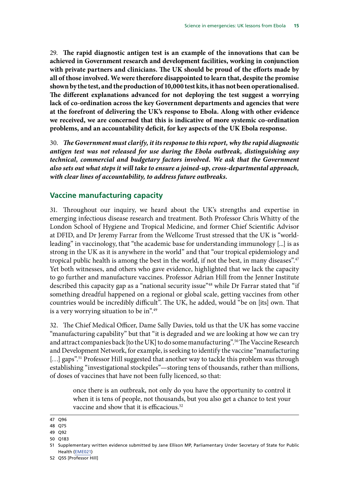<span id="page-18-1"></span><span id="page-18-0"></span>29. **The rapid diagnostic antigen test is an example of the innovations that can be achieved in Government research and development facilities, working in conjunction with private partners and clinicians. The UK should be proud of the efforts made by all of those involved. We were therefore disappointed to learn that, despite the promise shown by the test, and the production of 10,000 test kits, it has not been operationalised. The different explanations advanced for not deploying the test suggest a worrying lack of co-ordination across the key Government departments and agencies that were at the forefront of delivering the UK's response to Ebola. Along with other evidence we received, we are concerned that this is indicative of more systemic co-ordination problems, and an accountability deficit, for key aspects of the UK Ebola response.**

<span id="page-18-2"></span>30. *The Government must clarify, it its response to this report, why the rapid diagnostic antigen test was not released for use during the Ebola outbreak, distinguishing any technical, commercial and budgetary factors involved. We ask that the Government also sets out what steps it will take to ensure a joined-up, cross-departmental approach, with clear lines of accountability, to address future outbreaks.*

#### **Vaccine manufacturing capacity**

31. Throughout our inquiry, we heard about the UK's strengths and expertise in emerging infectious disease research and treatment. Both Professor Chris Whitty of the London School of Hygiene and Tropical Medicine, and former Chief Scientific Advisor at DFID, and Dr Jeremy Farrar from the Wellcome Trust stressed that the UK is "worldleading" in vaccinology, that "the academic base for understanding immunology [...] is as strong in the UK as it is anywhere in the world" and that "our tropical epidemiology and tropical public health is among the best in the world, if not the best, in many diseases".47 Yet both witnesses, and others who gave evidence, highlighted that we lack the capacity to go further and manufacture vaccines. Professor Adrian Hill from the Jenner Institute described this capacity gap as a "national security issue"<sup>48</sup> while Dr Farrar stated that "if something dreadful happened on a regional or global scale, getting vaccines from other countries would be incredibly difficult". The UK, he added, would "be on [its] own. That is a very worrying situation to be in".49

32. The Chief Medical Officer, Dame Sally Davies, told us that the UK has some vaccine "manufacturing capability" but that "it is degraded and we are looking at how we can try and attract companies back [to the UK] to do some manufacturing".<sup>50</sup> The Vaccine Research and Development Network, for example, is seeking to identify the vaccine "manufacturing [...] gaps".<sup>51</sup> Professor Hill suggested that another way to tackle this problem was through establishing "investigational stockpiles"—storing tens of thousands, rather than millions, of doses of vaccines that have not been fully licenced, so that:

once there is an outbreak, not only do you have the opportunity to control it when it is tens of people, not thousands, but you also get a chance to test your vaccine and show that it is efficacious.<sup>52</sup>

- 49 Q92
- 50 Q183

<sup>47</sup> Q96

<sup>48</sup> Q75

<sup>51</sup> Supplementary written evidence submitted by Jane Ellison MP, Parliamentary Under Secretary of State for Public Health ([EME021](http://data.parliament.uk/writtenevidence/committeeevidence.svc/evidencedocument/science-and-technology-committee/science-in-emergencies/written/26646.html))

<sup>52</sup> Q55 [Professor Hill]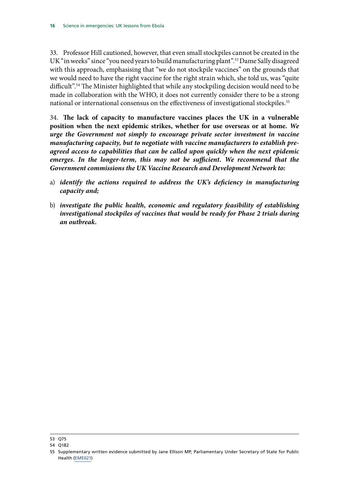33. Professor Hill cautioned, however, that even small stockpiles cannot be created in the UK "in weeks" since "you need years to build manufacturing plant".<sup>53</sup> Dame Sally disagreed with this approach, emphasising that "we do not stockpile vaccines" on the grounds that we would need to have the right vaccine for the right strain which, she told us, was "quite difficult".<sup>54</sup> The Minister highlighted that while any stockpiling decision would need to be made in collaboration with the WHO, it does not currently consider there to be a strong national or international consensus on the effectiveness of investigational stockpiles.<sup>55</sup>

<span id="page-19-1"></span><span id="page-19-0"></span>34. **The lack of capacity to manufacture vaccines places the UK in a vulnerable position when the next epidemic strikes, whether for use overseas or at home.** *We urge the Government not simply to encourage private sector investment in vaccine manufacturing capacity, but to negotiate with vaccine manufacturers to establish preagreed access to capabilities that can be called upon quickly when the next epidemic*  emerges. In the longer-term, this may not be sufficient. We recommend that the *Government commissions the UK Vaccine Research and Development Network to:*

- <span id="page-19-2"></span>a) *identify the actions required to address the UK's deficiency in manufacturing capacity and;*
- <span id="page-19-3"></span>b) *investigate the public health, economic and regulatory feasibility of establishing investigational stockpiles of vaccines that would be ready for Phase 2 trials during an outbreak.*

<sup>53</sup> Q75

<sup>54</sup> Q182

<sup>55</sup> Supplementary written evidence submitted by Jane Ellison MP, Parliamentary Under Secretary of State for Public Health ([EME021](http://data.parliament.uk/writtenevidence/committeeevidence.svc/evidencedocument/science-and-technology-committee/science-in-emergencies/written/26646.html))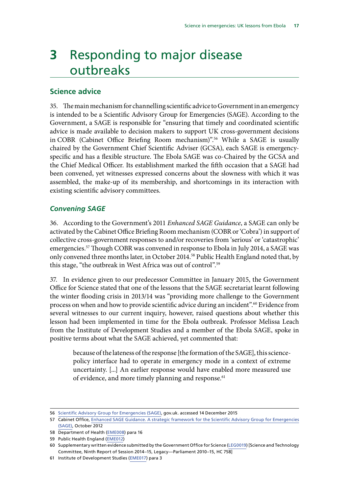## <span id="page-20-0"></span>**3** Responding to major disease outbreaks

#### **Science advice**

35. The main mechanism for channelling scientific advice to Government in an emergency is intended to be a Scientific Advisory Group for Emergencies (SAGE). According to the Government, a SAGE is responsible for "ensuring that timely and coordinated scientific advice is made available to decision makers to support UK cross-government decisions in COBR (Cabinet Office Briefing Room mechanism)".56 While a SAGE is usually chaired by the Government Chief Scientific Adviser (GCSA), each SAGE is emergencyspecific and has a flexible structure. The Ebola SAGE was co-Chaired by the GCSA and the Chief Medical Officer. Its establishment marked the fifth occasion that a SAGE had been convened, yet witnesses expressed concerns about the slowness with which it was assembled, the make-up of its membership, and shortcomings in its interaction with existing scientific advisory committees.

#### *Convening SAGE*

36. According to the Government's 2011 *Enhanced SAGE Guidance*, a SAGE can only be activated by the Cabinet Office Briefing Room mechanism (COBR or 'Cobra') in support of collective cross-government responses to and/or recoveries from 'serious' or 'catastrophic' emergencies.57 Though COBR was convened in response to Ebola in July 2014, a SAGE was only convened three months later, in October 2014.<sup>58</sup> Public Health England noted that, by this stage, "the outbreak in West Africa was out of control".<sup>59</sup>

37. In evidence given to our predecessor Committee in January 2015, the Government Office for Science stated that one of the lessons that the SAGE secretariat learnt following the winter flooding crisis in 2013/14 was "providing more challenge to the Government process on when and how to provide scientific advice during an incident".60 Evidence from several witnesses to our current inquiry, however, raised questions about whether this lesson had been implemented in time for the Ebola outbreak. Professor Melissa Leach from the Institute of Development Studies and a member of the Ebola SAGE, spoke in positive terms about what the SAGE achieved, yet commented that:

because of the lateness of the response [the formation of the SAGE], this sciencepolicy interface had to operate in emergency mode in a context of extreme uncertainty. [...] An earlier response would have enabled more measured use of evidence, and more timely planning and response.<sup>61</sup>

<sup>56</sup> [Scientific Advisory Group for Emergencies \(SAGE\),](https://www.gov.uk/government/groups/scientific-advisory-group-for-emergencies-sage) gov.uk. accessed 14 December 2015

<sup>57</sup> Cabinet Office, [Enhanced SAGE Guidance. A strategic framework for the Scientific Advisory Group for Emergencies](https://www.gov.uk/government/uploads/system/uploads/attachment_data/file/80087/sage-guidance.pdf) [\(SAGE\)](https://www.gov.uk/government/uploads/system/uploads/attachment_data/file/80087/sage-guidance.pdf), October 2012

<sup>58</sup> Department of Health [\(EME008](http://data.parliament.uk/writtenevidence/committeeevidence.svc/evidencedocument/science-and-technology-committee/science-in-emergencies/written/21015.html)) para 16

<sup>59</sup> Public Health England [\(EME012](http://data.parliament.uk/writtenevidence/committeeevidence.svc/evidencedocument/science-and-technology-committee/science-in-emergencies/written/21565.html))

<sup>60</sup> Supplementary written evidence submitted by the Government Office for Science ([LEG0019](http://data.parliament.uk/writtenevidence/committeeevidence.svc/evidencedocument/science-and-technology-committee/the-legacy-report-201015/written/17980.html)) [Science and Technology Committee, Ninth Report of Session 2014–15, Legacy—Parliament 2010–15, HC 758]

<sup>61</sup> Institute of Development Studies ([EME017](http://data.parliament.uk/writtenevidence/committeeevidence.svc/evidencedocument/science-and-technology-committee/science-in-emergencies/written/22946.html)) para 3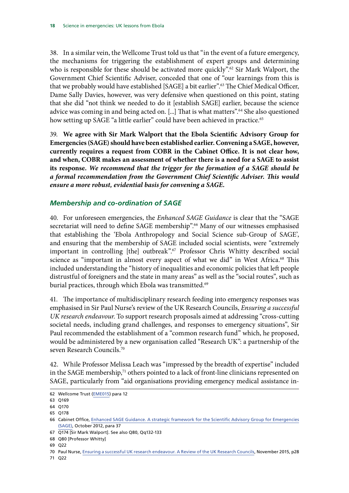<span id="page-21-0"></span>38. In a similar vein, the Wellcome Trust told us that "in the event of a future emergency, the mechanisms for triggering the establishment of expert groups and determining who is responsible for these should be activated more quickly".<sup>62</sup> Sir Mark Walport, the Government Chief Scientific Adviser, conceded that one of "our learnings from this is that we probably would have established [SAGE] a bit earlier".63 The Chief Medical Officer, Dame Sally Davies, however, was very defensive when questioned on this point, stating that she did "not think we needed to do it [establish SAGE] earlier, because the science advice was coming in and being acted on. [...] That is what matters".<sup>64</sup> She also questioned how setting up SAGE "a little earlier" could have been achieved in practice.<sup>65</sup>

<span id="page-21-2"></span><span id="page-21-1"></span>39. **We agree with Sir Mark Walport that the Ebola Scientific Advisory Group for Emergencies (SAGE) should have been established earlier. Convening a SAGE, however, currently requires a request from COBR in the Cabinet Office. It is not clear how, and when, COBR makes an assessment of whether there is a need for a SAGE to assist its response.** *We recommend that the trigger for the formation of a SAGE should be a formal recommendation from the Government Chief Scientific Adviser. This would ensure a more robust, evidential basis for convening a SAGE.*

#### *Membership and co-ordination of SAGE*

40. For unforeseen emergencies, the *Enhanced SAGE Guidance* is clear that the "SAGE secretariat will need to define SAGE membership".<sup>66</sup> Many of our witnesses emphasised that establishing the 'Ebola Anthropology and Social Science sub-Group of SAGE', and ensuring that the membership of SAGE included social scientists, were "extremely important in controlling [the] outbreak".67 Professor Chris Whitty described social science as "important in almost every aspect of what we did" in West Africa.<sup>68</sup> This included understanding the "history of inequalities and economic policies that left people distrustful of foreigners and the state in many areas" as well as the "social routes", such as burial practices, through which Ebola was transmitted.<sup>69</sup>

41. The importance of multidisciplinary research feeding into emergency responses was emphasised in Sir Paul Nurse's review of the UK Research Councils, *Ensuring a successful UK research endeavour*. To support research proposals aimed at addressing "cross-cutting societal needs, including grand challenges, and responses to emergency situations", Sir Paul recommended the establishment of a "common research fund" which, he proposed, would be administered by a new organisation called "Research UK": a partnership of the seven Research Councils.70

42. While Professor Melissa Leach was "impressed by the breadth of expertise" included in the SAGE membership,<sup>71</sup> others pointed to a lack of front-line clinicians represented on SAGE, particularly from "aid organisations providing emergency medical assistance in-

71 Q22

<sup>62</sup> Wellcome Trust ([EME015\)](http://data.parliament.uk/writtenevidence/committeeevidence.svc/evidencedocument/science-and-technology-committee/science-in-emergencies/written/22137.html) para 12

<sup>63</sup> Q169

<sup>64</sup> Q170

<sup>65</sup> Q178

<sup>66</sup> Cabinet Office, [Enhanced SAGE Guidance. A strategic framework for the Scientific Advisory Group for Emergencies](https://www.gov.uk/government/uploads/system/uploads/attachment_data/file/80087/sage-guidance.pdf) [\(SAGE\)](https://www.gov.uk/government/uploads/system/uploads/attachment_data/file/80087/sage-guidance.pdf), October 2012, para 37

<sup>67</sup> Q174 [Sir Mark Walport]. See also Q80, Qq132-133

<sup>68</sup> Q80 [Professor Whitty]

<sup>69</sup> Q22

<sup>70</sup> Paul Nurse, [Ensuring a successful UK research endeavour. A Review of the UK Research Councils](https://www.gov.uk/government/uploads/system/uploads/attachment_data/file/478125/BIS-15-625-ensuring-a-successful-UK-research-endeavour.pdf), November 2015, p28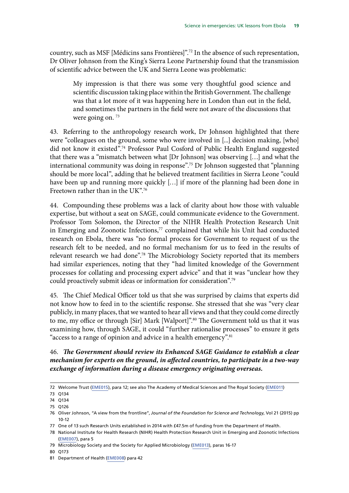country, such as MSF [Médicins sans Frontières]".72 In the absence of such representation, Dr Oliver Johnson from the King's Sierra Leone Partnership found that the transmission of scientific advice between the UK and Sierra Leone was problematic:

My impression is that there was some very thoughtful good science and scientific discussion taking place within the British Government. The challenge was that a lot more of it was happening here in London than out in the field, and sometimes the partners in the field were not aware of the discussions that were going on.<sup>73</sup>

43. Referring to the anthropology research work, Dr Johnson highlighted that there were "colleagues on the ground, some who were involved in [...] decision making, [who] did not know it existed".74 Professor Paul Cosford of Public Health England suggested that there was a "mismatch between what [Dr Johnson] was observing […] and what the international community was doing in response".<sup>75</sup> Dr Johnson suggested that "planning" should be more local", adding that he believed treatment facilities in Sierra Leone "could have been up and running more quickly […] if more of the planning had been done in Freetown rather than in the UK".<sup>76</sup>

44. Compounding these problems was a lack of clarity about how those with valuable expertise, but without a seat on SAGE, could communicate evidence to the Government. Professor Tom Solomon, the Director of the NIHR Health Protection Research Unit in Emerging and Zoonotic Infections,<sup>77</sup> complained that while his Unit had conducted research on Ebola, there was "no formal process for Government to request of us the research felt to be needed, and no formal mechanism for us to feed in the results of relevant research we had done".78 The Microbiology Society reported that its members had similar experiences, noting that they "had limited knowledge of the Government processes for collating and processing expert advice" and that it was "unclear how they could proactively submit ideas or information for consideration".<sup>79</sup>

45. The Chief Medical Officer told us that she was surprised by claims that experts did not know how to feed in to the scientific response. She stressed that she was "very clear publicly, in many places, that we wanted to hear all views and that they could come directly to me, my office or through [Sir] Mark [Walport]".<sup>80</sup> The Government told us that it was examining how, through SAGE, it could "further rationalise processes" to ensure it gets "access to a range of opinion and advice in a health emergency".<sup>81</sup>

#### <span id="page-22-0"></span>46. *The Government should review its Enhanced SAGE Guidance to establish a clear mechanism for experts on the ground, in affected countries, to participate in a two-way exchange of information during a disease emergency originating overseas.*

<sup>72</sup> Welcome Trust ([EME015\)](http://data.parliament.uk/writtenevidence/committeeevidence.svc/evidencedocument/science-and-technology-committee/science-in-emergencies/written/22137.html), para 12; see also The Academy of Medical Sciences and The Royal Society ([EME011\)](http://data.parliament.uk/writtenevidence/committeeevidence.svc/evidencedocument/science-and-technology-committee/science-in-emergencies/written/21461.html)

<sup>73</sup> Q134

<sup>74</sup> Q134

<sup>75</sup> Q126

<sup>76</sup> Oliver Johnson, "A view from the frontline", *Journal of the Foundation for Science and Technology*, Vol 21 (2015) pp 10-12

<sup>77</sup> One of 13 such Research Units established in 2014 with £47.5m of funding from the Department of Health.

<sup>78</sup> National Institute for Health Research (NIHR) Health Protection Research Unit in Emerging and Zoonotic Infections ([EME007](http://data.parliament.uk/writtenevidence/committeeevidence.svc/evidencedocument/science-and-technology-committee/science-in-emergencies/written/21014.html)), para 5

<sup>79</sup> Microbiology Society and the Society for Applied Microbiology ([EME013](http://data.parliament.uk/writtenevidence/committeeevidence.svc/evidencedocument/science-and-technology-committee/science-in-emergencies/written/21586.html)), paras 16-17

<sup>80</sup> Q173

<sup>81</sup> Department of Health [\(EME008](http://data.parliament.uk/writtenevidence/committeeevidence.svc/evidencedocument/science-and-technology-committee/science-in-emergencies/written/21015.html)) para 42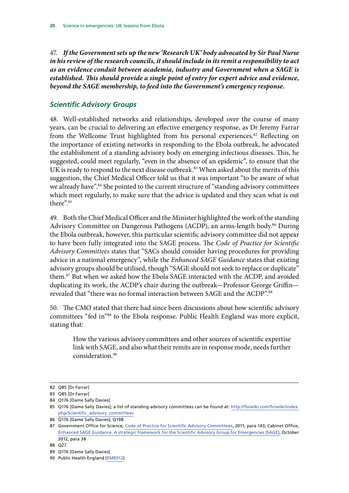<span id="page-23-1"></span><span id="page-23-0"></span>47. *If the Government sets up the new 'Research UK' body advocated by Sir Paul Nurse in his review of the research councils, it should include in its remit a responsibility to act as an evidence conduit between academia, industry and Government when a SAGE is established. This should provide a single point of entry for expert advice and evidence, beyond the SAGE membership, to feed into the Government's emergency response.*

#### *Scientific Advisory Groups*

48. Well-established networks and relationships, developed over the course of many years, can be crucial to delivering an effective emergency response, as Dr Jeremy Farrar from the Wellcome Trust highlighted from his personal experiences.<sup>82</sup> Reflecting on the importance of existing networks in responding to the Ebola outbreak, he advocated the establishment of a standing advisory body on emerging infectious diseases. This, he suggested, could meet regularly, "even in the absence of an epidemic", to ensure that the UK is ready to respond to the next disease outbreak.<sup>83</sup> When asked about the merits of this suggestion, the Chief Medical Officer told us that it was important "to be aware of what we already have".<sup>84</sup> She pointed to the current structure of "standing advisory committees which meet regularly, to make sure that the advice is updated and they scan what is out there".85

49. Both the Chief Medical Officer and the Minister highlighted the work of the standing Advisory Committee on Dangerous Pathogens (ACDP), an arms-length body.<sup>86</sup> During the Ebola outbreak, however, this particular scientific advisory committee did not appear to have been fully integrated into the SAGE process. The *Code of Practice for Scientific Advisory Committees* states that "SACs should consider having procedures for providing advice in a national emergency", while the *Enhanced SAGE Guidance* states that existing advisory groups should be utilised, though "SAGE should not seek to replace or duplicate" them.87 But when we asked how the Ebola SAGE interacted with the ACDP, and avoided duplicating its work, the ACDP's chair during the outbreak—Professor George Griffin revealed that "there was no formal interaction between SAGE and the ACDP".88

50. The CMO stated that there had since been discussions about how scientific advisory committees "fed in"89 to the Ebola response. Public Health England was more explicit, stating that:

How the various advisory committees and other sources of scientific expertise link with SAGE, and also what their remits are in response mode, needs further consideration.90

<sup>82</sup> Q85 [Dr Farrar]

<sup>83</sup> Q85 [Dr Farrar]

<sup>84</sup> Q176 [Dame Sally Davies]

<sup>85</sup> Q176 [Dame Sally Davies]; a list of standing advisory committees can be found at: [http://foiwiki.com/foiwiki/index.](http://foiwiki.com/foiwiki/index.php/Scientific_advisory_committees) [php/Scientific\\_advisory\\_committees](http://foiwiki.com/foiwiki/index.php/Scientific_advisory_committees)

<sup>86</sup> Q176 [Dame Sally Davies]; Q198

<sup>87</sup> Government Office for Science, [Code of Practice for Scientific Advisory Committees,](https://www.gov.uk/government/uploads/system/uploads/attachment_data/file/278498/11-1382-code-of-practice-scientific-advisory-committees.pdf) 2011, para 143; Cabinet Office, [Enhanced SAGE Guidance. A strategic framework for the Scientific Advisory Group for Emergencies \(SAGE\),](https://www.gov.uk/government/uploads/system/uploads/attachment_data/file/80087/sage-guidance.pdf) October 2012, para 38

<sup>88</sup> Q27

<sup>89</sup> Q176 [Dame Sally Davies]

<sup>90</sup> Public Health England [\(EME012](http://data.parliament.uk/writtenevidence/committeeevidence.svc/evidencedocument/science-and-technology-committee/science-in-emergencies/written/21565.html))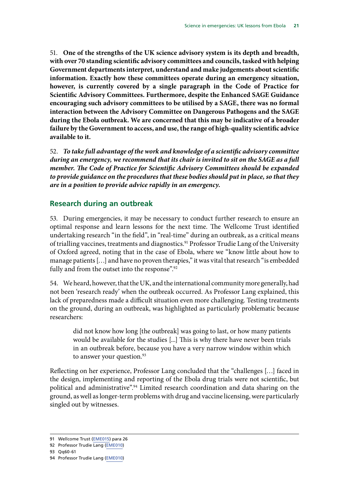<span id="page-24-1"></span><span id="page-24-0"></span>51. **One of the strengths of the UK science advisory system is its depth and breadth, with over 70 standing scientific advisory committees and councils, tasked with helping Government departments interpret, understand and make judgements about scientific information. Exactly how these committees operate during an emergency situation, however, is currently covered by a single paragraph in the Code of Practice for Scientific Advisory Committees. Furthermore, despite the Enhanced SAGE Guidance encouraging such advisory committees to be utilised by a SAGE, there was no formal interaction between the Advisory Committee on Dangerous Pathogens and the SAGE during the Ebola outbreak. We are concerned that this may be indicative of a broader failure by the Government to access, and use, the range of high-quality scientific advice available to it.**

<span id="page-24-2"></span>52. *To take full advantage of the work and knowledge of a scientific advisory committee during an emergency, we recommend that its chair is invited to sit on the SAGE as a full member. The Code of Practice for Scientific Advisory Committees should be expanded to provide guidance on the procedures that these bodies should put in place, so that they are in a position to provide advice rapidly in an emergency.*

#### **Research during an outbreak**

53. During emergencies, it may be necessary to conduct further research to ensure an optimal response and learn lessons for the next time. The Wellcome Trust identified undertaking research "in the field", in "real-time" during an outbreak, as a critical means of trialling vaccines, treatments and diagnostics.<sup>91</sup> Professor Trudie Lang of the University of Oxford agreed, noting that in the case of Ebola, where we "know little about how to manage patients […] and have no proven therapies," it was vital that research "is embedded fully and from the outset into the response".<sup>92</sup>

54. We heard, however, that the UK, and the international community more generally, had not been 'research ready' when the outbreak occurred. As Professor Lang explained, this lack of preparedness made a difficult situation even more challenging. Testing treatments on the ground, during an outbreak, was highlighted as particularly problematic because researchers:

did not know how long [the outbreak] was going to last, or how many patients would be available for the studies [...] This is why there have never been trials in an outbreak before, because you have a very narrow window within which to answer your question.<sup>93</sup>

Reflecting on her experience, Professor Lang concluded that the "challenges […] faced in the design, implementing and reporting of the Ebola drug trials were not scientific, but political and administrative".<sup>94</sup> Limited research coordination and data sharing on the ground, as well as longer-term problems with drug and vaccine licensing, were particularly singled out by witnesses.

<sup>91</sup> Wellcome Trust ([EME015\)](http://data.parliament.uk/writtenevidence/committeeevidence.svc/evidencedocument/science-and-technology-committee/science-in-emergencies/written/22137.html) para 26

<sup>92</sup> Professor Trudie Lang [\(EME010](http://data.parliament.uk/writtenevidence/committeeevidence.svc/evidencedocument/science-and-technology-committee/science-in-emergencies/written/21114.html))

<sup>93</sup> Qq60-61

<sup>94</sup> Professor Trudie Lang [\(EME010](http://data.parliament.uk/writtenevidence/committeeevidence.svc/evidencedocument/science-and-technology-committee/science-in-emergencies/written/21114.html))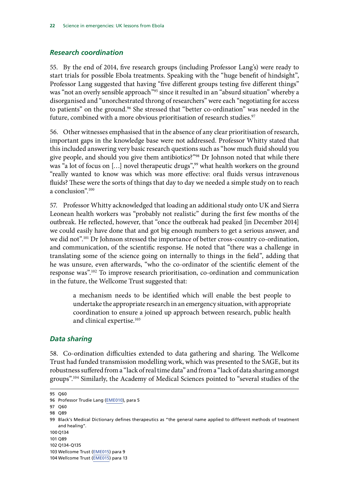#### <span id="page-25-0"></span>*Research coordination*

55. By the end of 2014, five research groups (including Professor Lang's) were ready to start trials for possible Ebola treatments. Speaking with the "huge benefit of hindsight", Professor Lang suggested that having "five different groups testing five different things" was "not an overly sensible approach"<sup>95</sup> since it resulted in an "absurd situation" whereby a disorganised and "unorchestrated throng of researchers" were each "negotiating for access to patients" on the ground.<sup>96</sup> She stressed that "better co-ordination" was needed in the future, combined with a more obvious prioritisation of research studies.<sup>97</sup>

56. Other witnesses emphasised that in the absence of any clear prioritisation of research, important gaps in the knowledge base were not addressed. Professor Whitty stated that this included answering very basic research questions such as "how much fluid should you give people, and should you give them antibiotics?"<sup>98</sup> Dr Johnson noted that while there was "a lot of focus on [...] novel therapeutic drugs",<sup>99</sup> what health workers on the ground "really wanted to know was which was more effective: oral fluids versus intravenous fluids? These were the sorts of things that day to day we needed a simple study on to reach a conclusion".100

57. Professor Whitty acknowledged that loading an additional study onto UK and Sierra Leonean health workers was "probably not realistic" during the first few months of the outbreak. He reflected, however, that "once the outbreak had peaked [in December 2014] we could easily have done that and got big enough numbers to get a serious answer, and we did not".101 Dr Johnson stressed the importance of better cross-country co-ordination, and communication, of the scientific response. He noted that "there was a challenge in translating some of the science going on internally to things in the field", adding that he was unsure, even afterwards, "who the co-ordinator of the scientific element of the response was".102 To improve research prioritisation, co-ordination and communication in the future, the Wellcome Trust suggested that:

a mechanism needs to be identified which will enable the best people to undertake the appropriate research in an emergency situation, with appropriate coordination to ensure a joined up approach between research, public health and clinical expertise.<sup>103</sup>

#### *Data sharing*

58. Co-ordination difficulties extended to data gathering and sharing. The Wellcome Trust had funded transmission modelling work, which was presented to the SAGE, but its robustness suffered from a "lack of real time data" and from a "lack of data sharing amongst groups".104 Similarly, the Academy of Medical Sciences pointed to "several studies of the

98 Q89

<sup>95</sup> Q60

<sup>96</sup> Professor Trudie Lang [\(EME010](http://data.parliament.uk/writtenevidence/committeeevidence.svc/evidencedocument/science-and-technology-committee/science-in-emergencies/written/21114.html)), para 5

<sup>97</sup> Q60

<sup>99</sup> Black's Medical Dictionary defines therapeutics as "the general name applied to different methods of treatment and healing".

<sup>100</sup> Q134

<sup>101</sup> Q89

<sup>102</sup> Q134-Q135

<sup>103</sup> Wellcome Trust ([EME015\)](http://data.parliament.uk/writtenevidence/committeeevidence.svc/evidencedocument/science-and-technology-committee/science-in-emergencies/written/22137.html) para 9

<sup>104</sup> Wellcome Trust ([EME015\)](http://data.parliament.uk/writtenevidence/committeeevidence.svc/evidencedocument/science-and-technology-committee/science-in-emergencies/written/22137.html) para 13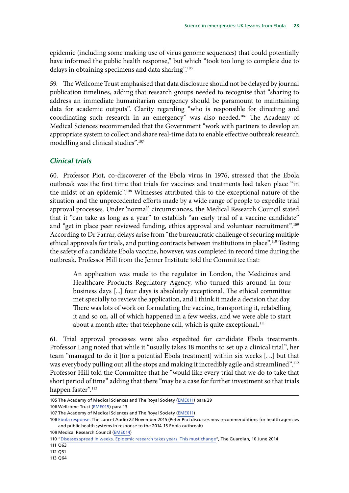<span id="page-26-0"></span>epidemic (including some making use of virus genome sequences) that could potentially have informed the public health response," but which "took too long to complete due to delays in obtaining specimens and data sharing".105

59. The Wellcome Trust emphasised that data disclosure should not be delayed by journal publication timelines, adding that research groups needed to recognise that "sharing to address an immediate humanitarian emergency should be paramount to maintaining data for academic outputs". Clarity regarding "who is responsible for directing and coordinating such research in an emergency" was also needed.106 The Academy of Medical Sciences recommended that the Government "work with partners to develop an appropriate system to collect and share real-time data to enable effective outbreak research modelling and clinical studies".107

#### *Clinical trials*

60. Professor Piot, co-discoverer of the Ebola virus in 1976, stressed that the Ebola outbreak was the first time that trials for vaccines and treatments had taken place "in the midst of an epidemic".108 Witnesses attributed this to the exceptional nature of the situation and the unprecedented efforts made by a wide range of people to expedite trial approval processes. Under 'normal' circumstances, the Medical Research Council stated that it "can take as long as a year" to establish "an early trial of a vaccine candidate" and "get in place peer reviewed funding, ethics approval and volunteer recruitment".109 According to Dr Farrar, delays arise from "the bureaucratic challenge of securing multiple ethical approvals for trials, and putting contracts between institutions in place".<sup>110</sup> Testing the safety of a candidate Ebola vaccine, however, was completed in record time during the outbreak. Professor Hill from the Jenner Institute told the Committee that:

An application was made to the regulator in London, the Medicines and Healthcare Products Regulatory Agency, who turned this around in four business days [...] four days is absolutely exceptional. The ethical committee met specially to review the application, and I think it made a decision that day. There was lots of work on formulating the vaccine, transporting it, relabelling it and so on, all of which happened in a few weeks, and we were able to start about a month after that telephone call, which is quite exceptional.<sup>111</sup>

61. Trial approval processes were also expedited for candidate Ebola treatments. Professor Lang noted that while it "usually takes 18 months to set up a clinical trial", her team "managed to do it [for a potential Ebola treatment] within six weeks […] but that was everybody pulling out all the stops and making it incredibly agile and streamlined".<sup>112</sup> Professor Hill told the Committee that he "would like every trial that we do to take that short period of time" adding that there "may be a case for further investment so that trials happen faster".<sup>113</sup>

106 Wellcome Trust ([EME015\)](http://data.parliament.uk/writtenevidence/committeeevidence.svc/evidencedocument/science-and-technology-committee/science-in-emergencies/written/22137.html) para 13

<sup>105</sup> The Academy of Medical Sciences and The Royal Society [\(EME011\)](http://data.parliament.uk/writtenevidence/committeeevidence.svc/evidencedocument/science-and-technology-committee/science-in-emergencies/written/21461.html) para 29

<sup>107</sup> The Academy of Medical Sciences and The Royal Society [\(EME011\)](http://data.parliament.uk/writtenevidence/committeeevidence.svc/evidencedocument/science-and-technology-committee/science-in-emergencies/written/21461.html)

<sup>108</sup> [Ebola response:](http://www.thelancet.com/journals/lancet/article/PIIS0140-6736(15)00946-0/fulltext) The Lancet Audio 22 November 2015 (Peter Piot discusses new recommendations for health agencies and public health systems in response to the 2014-15 Ebola outbreak)

<sup>109</sup> Medical Research Council [\(EME014](http://data.parliament.uk/writtenevidence/committeeevidence.svc/evidencedocument/science-and-technology-committee/science-in-emergencies/written/21648.html))

<sup>110</sup> ["Diseases spread in weeks. Epidemic research takes years. This must change"](http://www.theguardian.com/commentisfree/2014/jun/10/diseases-epidemic-research-outbreaks-ebola), The Guardian, 10 June 2014

<sup>111</sup> Q63

<sup>112</sup> Q51

<sup>113</sup> Q64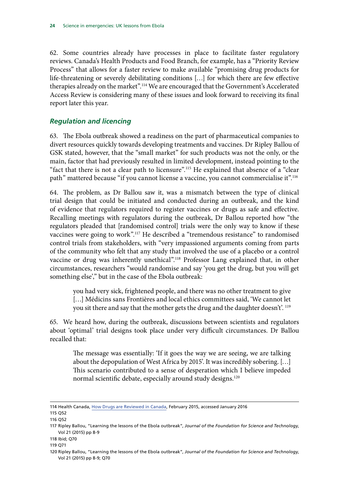<span id="page-27-0"></span>62. Some countries already have processes in place to facilitate faster regulatory reviews. Canada's Health Products and Food Branch, for example, has a "Priority Review Process" that allows for a faster review to make available "promising drug products for life-threatening or severely debilitating conditions […] for which there are few effective therapies already on the market".114 We are encouraged that the Government's Accelerated Access Review is considering many of these issues and look forward to receiving its final report later this year.

#### *Regulation and licencing*

63. The Ebola outbreak showed a readiness on the part of pharmaceutical companies to divert resources quickly towards developing treatments and vaccines. Dr Ripley Ballou of GSK stated, however, that the "small market" for such products was not the only, or the main, factor that had previously resulted in limited development, instead pointing to the "fact that there is not a clear path to licensure".<sup>115</sup> He explained that absence of a "clear path" mattered because "if you cannot license a vaccine, you cannot commercialise it".116

64. The problem, as Dr Ballou saw it, was a mismatch between the type of clinical trial design that could be initiated and conducted during an outbreak, and the kind of evidence that regulators required to register vaccines or drugs as safe and effective. Recalling meetings with regulators during the outbreak, Dr Ballou reported how "the regulators pleaded that [randomised control] trials were the only way to know if these vaccines were going to work".117 He described a "tremendous resistance" to randomised control trials from stakeholders, with "very impassioned arguments coming from parts of the community who felt that any study that involved the use of a placebo or a control vaccine or drug was inherently unethical".118 Professor Lang explained that, in other circumstances, researchers "would randomise and say 'you get the drug, but you will get something else'," but in the case of the Ebola outbreak:

you had very sick, frightened people, and there was no other treatment to give [...] Médicins sans Frontières and local ethics committees said, 'We cannot let you sit there and say that the mother gets the drug and the daughter doesn't'. <sup>119</sup>

65. We heard how, during the outbreak, discussions between scientists and regulators about 'optimal' trial designs took place under very difficult circumstances. Dr Ballou recalled that:

The message was essentially: 'If it goes the way we are seeing, we are talking about the depopulation of West Africa by 2015'. It was incredibly sobering. […] This scenario contributed to a sense of desperation which I believe impeded normal scientific debate, especially around study designs.<sup>120</sup>

<sup>114</sup> Health Canada, [How Drugs are Reviewed in Canada,](http://www.hc-sc.gc.ca/dhp-mps/prodpharma/activit/fs-fi/reviewfs_examenfd-eng.php) February 2015, accessed January 2016

<sup>115</sup> Q52

<sup>116</sup> Q52

<sup>117</sup> Ripley Ballou, "Learning the lessons of the Ebola outbreak", *Journal of the Foundation for Science and Technology*, Vol 21 (2015) pp 8-9

<sup>118</sup> Ibid; Q70

<sup>119</sup> Q71

<sup>120</sup> Ripley Ballou, "Learning the lessons of the Ebola outbreak", *Journal of the Foundation for Science and Technology*, Vol 21 (2015) pp 8-9; Q70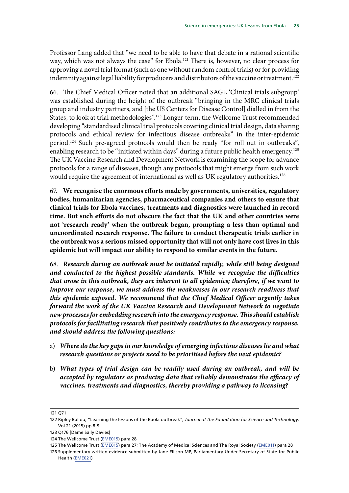Professor Lang added that "we need to be able to have that debate in a rational scientific way, which was not always the case" for Ebola.<sup>121</sup> There is, however, no clear process for approving a novel trial format (such as one without random control trials) or for providing indemnity against legal liability for producers and distributors of the vaccine or treatment.<sup>122</sup>

66. The Chief Medical Officer noted that an additional SAGE 'Clinical trials subgroup' was established during the height of the outbreak "bringing in the MRC clinical trials group and industry partners, and [the US Centers for Disease Control] dialled in from the States, to look at trial methodologies".123 Longer-term, the Wellcome Trust recommended developing "standardised clinical trial protocols covering clinical trial design, data sharing protocols and ethical review for infectious disease outbreaks" in the inter-epidemic period.124 Such pre-agreed protocols would then be ready "for roll out in outbreaks", enabling research to be "initiated within days" during a future public health emergency.<sup>125</sup> The UK Vaccine Research and Development Network is examining the scope for advance protocols for a range of diseases, though any protocols that might emerge from such work would require the agreement of international as well as UK regulatory authorities.<sup>126</sup>

<span id="page-28-0"></span>67. **We recognise the enormous efforts made by governments, universities, regulatory bodies, humanitarian agencies, pharmaceutical companies and others to ensure that clinical trials for Ebola vaccines, treatments and diagnostics were launched in record time. But such efforts do not obscure the fact that the UK and other countries were not 'research ready' when the outbreak began, prompting a less than optimal and uncoordinated research response. The failure to conduct therapeutic trials earlier in the outbreak was a serious missed opportunity that will not only have cost lives in this epidemic but will impact our ability to respond to similar events in the future.**

<span id="page-28-1"></span>68. *Research during an outbreak must be initiated rapidly, while still being designed and conducted to the highest possible standards. While we recognise the difficulties that arose in this outbreak, they are inherent to all epidemics; therefore, if we want to improve our response, we must address the weaknesses in our research readiness that this epidemic exposed. We recommend that the Chief Medical Officer urgently takes forward the work of the UK Vaccine Research and Development Network to negotiate new processes for embedding research into the emergency response. This should establish protocols for facilitating research that positively contributes to the emergency response, and should address the following questions:*

- <span id="page-28-2"></span>a) *Where do the key gaps in our knowledge of emerging infectious diseases lie and what research questions or projects need to be prioritised before the next epidemic?*
- <span id="page-28-3"></span>b) *What types of trial design can be readily used during an outbreak, and will be accepted by regulators as producing data that reliably demonstrates the efficacy of vaccines, treatments and diagnostics, thereby providing a pathway to licensing?*

<sup>121</sup> Q71

<sup>122</sup> Ripley Ballou, "Learning the lessons of the Ebola outbreak", *Journal of the Foundation for Science and Technology*, Vol 21 (2015) pp 8-9

<sup>123</sup> Q176 [Dame Sally Davies]

<sup>124</sup> The Wellcome Trust ([EME015\)](http://data.parliament.uk/writtenevidence/committeeevidence.svc/evidencedocument/science-and-technology-committee/science-in-emergencies/written/22137.html) para 28

<sup>125</sup> The Wellcome Trust ([EME015\)](http://data.parliament.uk/writtenevidence/committeeevidence.svc/evidencedocument/science-and-technology-committee/science-in-emergencies/written/22137.html) para 27; The Academy of Medical Sciences and The Royal Society [\(EME011](http://data.parliament.uk/writtenevidence/committeeevidence.svc/evidencedocument/science-and-technology-committee/science-in-emergencies/written/21461.html)) para 28

<sup>126</sup> Supplementary written evidence submitted by Jane Ellison MP, Parliamentary Under Secretary of State for Public Health ([EME021](http://data.parliament.uk/writtenevidence/committeeevidence.svc/evidencedocument/science-and-technology-committee/science-in-emergencies/written/26646.html))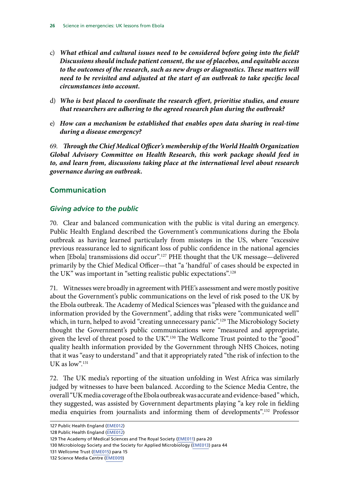- <span id="page-29-1"></span><span id="page-29-0"></span>c) *What ethical and cultural issues need to be considered before going into the field? Discussions should include patient consent, the use of placebos, and equitable access to the outcomes of the research, such as new drugs or diagnostics. These matters will need to be revisited and adjusted at the start of an outbreak to take specific local circumstances into account.*
- <span id="page-29-2"></span>d) *Who is best placed to coordinate the research effort, prioritise studies, and ensure that researchers are adhering to the agreed research plan during the outbreak?*
- <span id="page-29-3"></span>e) *How can a mechanism be established that enables open data sharing in real-time during a disease emergency?*

<span id="page-29-4"></span>69. *Through the Chief Medical Officer's membership of the World Health Organization Global Advisory Committee on Health Research, this work package should feed in to, and learn from, discussions taking place at the international level about research governance during an outbreak.*

#### **Communication**

#### *Giving advice to the public*

70. Clear and balanced communication with the public is vital during an emergency. Public Health England described the Government's communications during the Ebola outbreak as having learned particularly from missteps in the US, where "excessive previous reassurance led to significant loss of public confidence in the national agencies when [Ebola] transmissions did occur".<sup>127</sup> PHE thought that the UK message-delivered primarily by the Chief Medical Officer—that "a 'handful' of cases should be expected in the UK" was important in "setting realistic public expectations".128

71. Witnesses were broadly in agreement with PHE's assessment and were mostly positive about the Government's public communications on the level of risk posed to the UK by the Ebola outbreak. The Academy of Medical Sciences was "pleased with the guidance and information provided by the Government", adding that risks were "communicated well" which, in turn, helped to avoid "creating unnecessary panic".<sup>129</sup> The Microbiology Society thought the Government's public communications were "measured and appropriate, given the level of threat posed to the UK".<sup>130</sup> The Wellcome Trust pointed to the "good" quality health information provided by the Government through NHS Choices, noting that it was "easy to understand" and that it appropriately rated "the risk of infection to the UK as  $low$ ".<sup>131</sup>

72. The UK media's reporting of the situation unfolding in West Africa was similarly judged by witnesses to have been balanced. According to the Science Media Centre, the overall "UK media coverage of the Ebola outbreak was accurate and evidence-based" which, they suggested, was assisted by Government departments playing "a key role in fielding media enquiries from journalists and informing them of developments".132 Professor

<sup>127</sup> Public Health England [\(EME012](http://data.parliament.uk/writtenevidence/committeeevidence.svc/evidencedocument/science-and-technology-committee/science-in-emergencies/written/21565.html))

<sup>128</sup> Public Health England [\(EME012](http://data.parliament.uk/writtenevidence/committeeevidence.svc/evidencedocument/science-and-technology-committee/science-in-emergencies/written/21565.html))

<sup>129</sup> The Academy of Medical Sciences and The Royal Society [\(EME011\)](http://data.parliament.uk/writtenevidence/committeeevidence.svc/evidencedocument/science-and-technology-committee/science-in-emergencies/written/21461.html) para 20

<sup>130</sup> Microbiology Society and the Society for Applied Microbiology ([EME013](http://data.parliament.uk/writtenevidence/committeeevidence.svc/evidencedocument/science-and-technology-committee/science-in-emergencies/written/21586.html)) para 44

<sup>131</sup> Wellcome Trust ([EME015\)](http://data.parliament.uk/writtenevidence/committeeevidence.svc/evidencedocument/science-and-technology-committee/science-in-emergencies/written/22137.html) para 15

<sup>132</sup> Science Media Centre ([EME009](http://data.parliament.uk/writtenevidence/committeeevidence.svc/evidencedocument/science-and-technology-committee/science-in-emergencies/written/21019.html))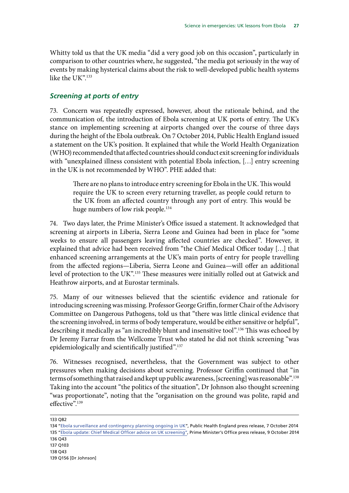<span id="page-30-0"></span>Whitty told us that the UK media "did a very good job on this occasion", particularly in comparison to other countries where, he suggested, "the media got seriously in the way of events by making hysterical claims about the risk to well-developed public health systems like the UK".<sup>133</sup>

#### *Screening at ports of entry*

73. Concern was repeatedly expressed, however, about the rationale behind, and the communication of, the introduction of Ebola screening at UK ports of entry. The UK's stance on implementing screening at airports changed over the course of three days during the height of the Ebola outbreak. On 7 October 2014, Public Health England issued a statement on the UK's position. It explained that while the World Health Organization (WHO) recommended that affected countries should conduct exit screening for individuals with "unexplained illness consistent with potential Ebola infection, […] entry screening in the UK is not recommended by WHO". PHE added that:

There are no plans to introduce entry screening for Ebola in the UK. This would require the UK to screen every returning traveller, as people could return to the UK from an affected country through any port of entry. This would be huge numbers of low risk people.<sup>134</sup>

74. Two days later, the Prime Minister's Office issued a statement. It acknowledged that screening at airports in Liberia, Sierra Leone and Guinea had been in place for "some weeks to ensure all passengers leaving affected countries are checked". However, it explained that advice had been received from "the Chief Medical Officer today […] that enhanced screening arrangements at the UK's main ports of entry for people travelling from the affected regions—Liberia, Sierra Leone and Guinea—will offer an additional level of protection to the UK".135 These measures were initially rolled out at Gatwick and Heathrow airports, and at Eurostar terminals.

75. Many of our witnesses believed that the scientific evidence and rationale for introducing screening was missing. Professor George Griffin, former Chair of the Advisory Committee on Dangerous Pathogens, told us that "there was little clinical evidence that the screening involved, in terms of body temperature, would be either sensitive or helpful", describing it medically as "an incredibly blunt and insensitive tool".136 This was echoed by Dr Jeremy Farrar from the Wellcome Trust who stated he did not think screening "was epidemiologically and scientifically justified".<sup>137</sup>

76. Witnesses recognised, nevertheless, that the Government was subject to other pressures when making decisions about screening. Professor Griffin continued that "in terms of something that raised and kept up public awareness, [screening] was reasonable".138 Taking into the account "the politics of the situation", Dr Johnson also thought screening "was proportionate", noting that the "organisation on the ground was polite, rapid and effective".139

133 Q82

<sup>134</sup> ["Ebola surveillance and contingency planning ongoing in UK](https://www.gov.uk/government/news/ebola-surveillance-and-contingency-planning-ongoing-in-uk)", Public Health England press release, 7 October 2014 135 ["Ebola update: Chief Medical Officer advice on UK screening"](https://www.gov.uk/government/news/ebola-update-chief-medical-officer-advice-on-uk-screening), Prime Minister's Office press release, 9 October 2014 136 Q43 137 Q103

<sup>138</sup> Q43

<sup>139</sup> Q156 [Dr Johnson]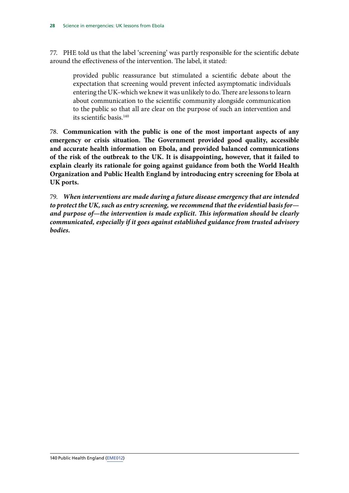77. PHE told us that the label 'screening' was partly responsible for the scientific debate around the effectiveness of the intervention. The label, it stated:

provided public reassurance but stimulated a scientific debate about the expectation that screening would prevent infected asymptomatic individuals entering the UK–which we knew it was unlikely to do. There are lessons to learn about communication to the scientific community alongside communication to the public so that all are clear on the purpose of such an intervention and its scientific basis.<sup>140</sup>

<span id="page-31-0"></span>78. **Communication with the public is one of the most important aspects of any emergency or crisis situation. The Government provided good quality, accessible and accurate health information on Ebola, and provided balanced communications of the risk of the outbreak to the UK. It is disappointing, however, that it failed to explain clearly its rationale for going against guidance from both the World Health Organization and Public Health England by introducing entry screening for Ebola at UK ports.**

<span id="page-31-1"></span>79. *When interventions are made during a future disease emergency that are intended to protect the UK, such as entry screening, we recommend that the evidential basis for and purpose of—the intervention is made explicit. This information should be clearly communicated, especially if it goes against established guidance from trusted advisory bodies.*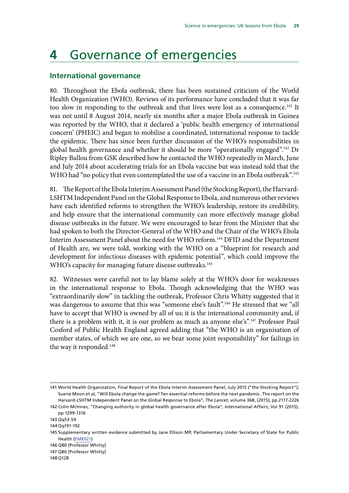### <span id="page-32-0"></span>**4** Governance of emergencies

#### **International governance**

80. Throughout the Ebola outbreak, there has been sustained criticism of the World Health Organization (WHO). Reviews of its performance have concluded that it was far too slow in responding to the outbreak and that lives were lost as a consequence.<sup>141</sup> It was not until 8 August 2014, nearly six months after a major Ebola outbreak in Guinea was reported by the WHO, that it declared a 'public health emergency of international concern' (PHEIC) and began to mobilise a coordinated, international response to tackle the epidemic. There has since been further discussion of the WHO's responsibilities in global health governance and whether it should be more "operationally engaged".142 Dr Ripley Ballou from GSK described how he contacted the WHO repeatedly in March, June and July 2014 about accelerating trials for an Ebola vaccine but was instead told that the WHO had "no policy that even contemplated the use of a vaccine in an Ebola outbreak".<sup>143</sup>

81. The Report of the Ebola Interim Assessment Panel (the Stocking Report), the Harvard-LSHTM Independent Panel on the Global Response to Ebola, and numerous other reviews have each identified reforms to strengthen the WHO's leadership, restore its credibility, and help ensure that the international community can more effectively manage global disease outbreaks in the future. We were encouraged to hear from the Minister that she had spoken to both the Director-General of the WHO and the Chair of the WHO's Ebola Interim Assessment Panel about the need for WHO reform.144 DFID and the Department of Health are, we were told, working with the WHO on a "blueprint for research and development for infectious diseases with epidemic potential", which could improve the WHO's capacity for managing future disease outbreaks.<sup>145</sup>

82. Witnesses were careful not to lay blame solely at the WHO's door for weaknesses in the international response to Ebola. Though acknowledging that the WHO was "extraordinarily slow" in tackling the outbreak, Professor Chris Whitty suggested that it was dangerous to assume that this was "someone else's fault".146 He stressed that we "all have to accept that WHO is owned by all of us; it is the international community and, if there is a problem with it, it is our problem as much as anyone else's".147 Professor Paul Cosford of Public Health England agreed adding that "the WHO is an organisation of member states, of which we are one, so we bear some joint responsibility" for failings in the way it responded.<sup>148</sup>

<sup>141</sup> World Health Organization, Final Report of the Ebola Interim Assessment Panel, July 2015 ("the Stocking Report"); Suerie Moon et al, "Will Ebola change the game? Ten essential reforms before the next pandemic. The report on the Harvard-LSHTM Independent Panel on the Global Response to Ebola", *The Lancet*, volume 368, (2015), pp 2117-2226

<sup>142</sup> Colin McInnes, "Changing authority in global health governance after Ebola", *International Affairs*, Vol 91 (2015), pp 1299-1316

<sup>143</sup> Qq53-54

<sup>144</sup> Qq191-192

<sup>145</sup> Supplementary written evidence submitted by Jane Ellison MP, Parliamentary Under Secretary of State for Public Health ([EME021](http://data.parliament.uk/writtenevidence/committeeevidence.svc/evidencedocument/science-and-technology-committee/science-in-emergencies/written/26646.html))

<sup>146</sup> Q80 [Professor Whitty]

<sup>147</sup> Q80 [Professor Whitty]

<sup>148</sup> Q128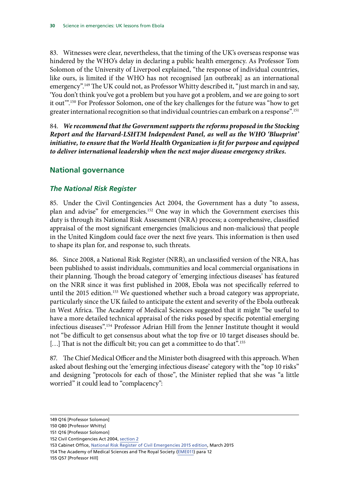<span id="page-33-0"></span>83. Witnesses were clear, nevertheless, that the timing of the UK's overseas response was hindered by the WHO's delay in declaring a public health emergency. As Professor Tom Solomon of the University of Liverpool explained, "the response of individual countries, like ours, is limited if the WHO has not recognised [an outbreak] as an international emergency".<sup>149</sup> The UK could not, as Professor Whitty described it, "just march in and say, 'You don't think you've got a problem but you have got a problem, and we are going to sort it out".<sup>150</sup> For Professor Solomon, one of the key challenges for the future was "how to get greater international recognition so that individual countries can embark on a response".151

<span id="page-33-1"></span>84. *We recommend that the Government supports the reforms proposed in the Stocking Report and the Harvard-LSHTM Independent Panel, as well as the WHO 'Blueprint' initiative, to ensure that the World Health Organization is fit for purpose and equipped to deliver international leadership when the next major disease emergency strikes.*

#### **National governance**

#### *The National Risk Register*

85. Under the Civil Contingencies Act 2004, the Government has a duty "to assess, plan and advise" for emergencies.152 One way in which the Government exercises this duty is through its National Risk Assessment (NRA) process; a comprehensive, classified appraisal of the most significant emergencies (malicious and non-malicious) that people in the United Kingdom could face over the next five years. This information is then used to shape its plan for, and response to, such threats.

86. Since 2008, a National Risk Register (NRR), an unclassified version of the NRA, has been published to assist individuals, communities and local commercial organisations in their planning. Though the broad category of 'emerging infectious diseases' has featured on the NRR since it was first published in 2008, Ebola was not specifically referred to until the 2015 edition.<sup>153</sup> We questioned whether such a broad category was appropriate, particularly since the UK failed to anticipate the extent and severity of the Ebola outbreak in West Africa. The Academy of Medical Sciences suggested that it might "be useful to have a more detailed technical appraisal of the risks posed by specific potential emerging infectious diseases".154 Professor Adrian Hill from the Jenner Institute thought it would not "be difficult to get consensus about what the top five or 10 target diseases should be. [...] That is not the difficult bit; you can get a committee to do that".<sup>155</sup>

87. The Chief Medical Officer and the Minister both disagreed with this approach. When asked about fleshing out the 'emerging infectious disease' category with the "top 10 risks" and designing "protocols for each of those", the Minister replied that she was "a little worried" it could lead to "complacency":

<sup>149</sup> Q16 [Professor Solomon]

<sup>150</sup> Q80 [Professor Whitty]

<sup>151</sup> Q16 [Professor Solomon]

<sup>152</sup> Civil Contingencies Act 2004, [section 2](http://www.legislation.gov.uk/ukpga/2004/36/part/1)

<sup>153</sup> Cabinet Office, [National Risk Register of Civil Emergencies 2015 edition,](https://www.gov.uk/government/uploads/system/uploads/attachment_data/file/419549/20150331_2015-NRR-WA_Final.pdf) March 2015

<sup>154</sup> The Academy of Medical Sciences and The Royal Society [\(EME011\)](http://data.parliament.uk/writtenevidence/committeeevidence.svc/evidencedocument/science-and-technology-committee/science-in-emergencies/written/21461.html) para 12

<sup>155</sup> Q57 [Professor Hill]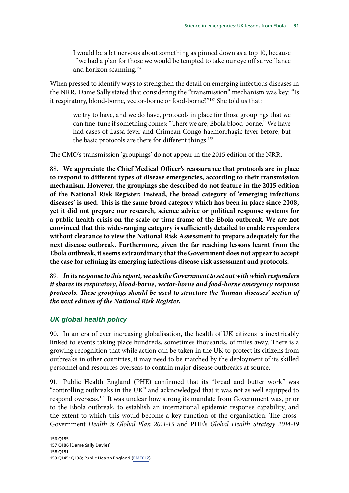<span id="page-34-0"></span>I would be a bit nervous about something as pinned down as a top 10, because if we had a plan for those we would be tempted to take our eye off surveillance and horizon scanning.<sup>156</sup>

When pressed to identify ways to strengthen the detail on emerging infectious diseases in the NRR, Dame Sally stated that considering the "transmission" mechanism was key: "Is it respiratory, blood-borne, vector-borne or food-borne?"157 She told us that:

we try to have, and we do have, protocols in place for those groupings that we can fine-tune if something comes: "There we are, Ebola blood-borne." We have had cases of Lassa fever and Crimean Congo haemorrhagic fever before, but the basic protocols are there for different things.<sup>158</sup>

The CMO's transmission 'groupings' do not appear in the 2015 edition of the NRR.

<span id="page-34-1"></span>88. **We appreciate the Chief Medical Officer's reassurance that protocols are in place to respond to different types of disease emergencies, according to their transmission mechanism. However, the groupings she described do not feature in the 2015 edition of the National Risk Register: Instead, the broad category of 'emerging infectious diseases' is used. This is the same broad category which has been in place since 2008, yet it did not prepare our research, science advice or political response systems for a public health crisis on the scale or time-frame of the Ebola outbreak. We are not convinced that this wide-ranging category is sufficiently detailed to enable responders without clearance to view the National Risk Assessment to prepare adequately for the next disease outbreak. Furthermore, given the far reaching lessons learnt from the Ebola outbreak, it seems extraordinary that the Government does not appear to accept the case for refining its emerging infectious disease risk assessment and protocols.**

<span id="page-34-2"></span>89. *In its response to this report, we ask the Government to set out with which responders it shares its respiratory, blood-borne, vector-borne and food-borne emergency response protocols. These groupings should be used to structure the 'human diseases' section of the next edition of the National Risk Register.*

#### *UK global health policy*

90. In an era of ever increasing globalisation, the health of UK citizens is inextricably linked to events taking place hundreds, sometimes thousands, of miles away. There is a growing recognition that while action can be taken in the UK to protect its citizens from outbreaks in other countries, it may need to be matched by the deployment of its skilled personnel and resources overseas to contain major disease outbreaks at source.

91. Public Health England (PHE) confirmed that its "bread and butter work" was "controlling outbreaks in the UK" and acknowledged that it was not as well equipped to respond overseas.159 It was unclear how strong its mandate from Government was, prior to the Ebola outbreak, to establish an international epidemic response capability, and the extent to which this would become a key function of the organisation. The cross-Government *Health is Global Plan 2011-15* and PHE's *Global Health Strategy 2014-19*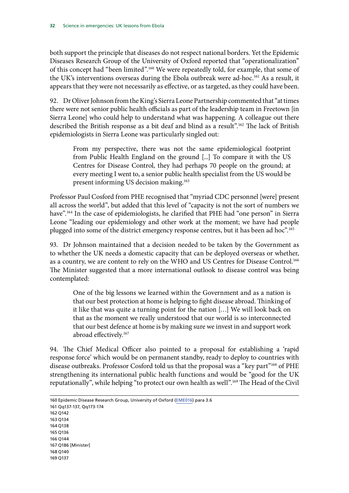both support the principle that diseases do not respect national borders. Yet the Epidemic Diseases Research Group of the University of Oxford reported that "operationalization" of this concept had "been limited".160 We were repeatedly told, for example, that some of the UK's interventions overseas during the Ebola outbreak were ad-hoc.161 As a result, it appears that they were not necessarily as effective, or as targeted, as they could have been.

92. Dr Oliver Johnson from the King's Sierra Leone Partnership commented that "at times there were not senior public health officials as part of the leadership team in Freetown [in Sierra Leone] who could help to understand what was happening. A colleague out there described the British response as a bit deaf and blind as a result".162 The lack of British epidemiologists in Sierra Leone was particularly singled out:

From my perspective, there was not the same epidemiological footprint from Public Health England on the ground [...] To compare it with the US Centres for Disease Control, they had perhaps 70 people on the ground; at every meeting I went to, a senior public health specialist from the US would be present informing US decision making.<sup>163</sup>

Professor Paul Cosford from PHE recognised that "myriad CDC personnel [were] present all across the world", but added that this level of "capacity is not the sort of numbers we have".164 In the case of epidemiologists, he clarified that PHE had "one person" in Sierra Leone "leading our epidemiology and other work at the moment; we have had people plugged into some of the district emergency response centres, but it has been ad hoc".165

93. Dr Johnson maintained that a decision needed to be taken by the Government as to whether the UK needs a domestic capacity that can be deployed overseas or whether, as a country, we are content to rely on the WHO and US Centres for Disease Control.<sup>166</sup> The Minister suggested that a more international outlook to disease control was being contemplated:

One of the big lessons we learned within the Government and as a nation is that our best protection at home is helping to fight disease abroad. Thinking of it like that was quite a turning point for the nation […] We will look back on that as the moment we really understood that our world is so interconnected that our best defence at home is by making sure we invest in and support work abroad effectively.167

94. The Chief Medical Officer also pointed to a proposal for establishing a 'rapid response force' which would be on permanent standby, ready to deploy to countries with disease outbreaks. Professor Cosford told us that the proposal was a "key part"<sup>168</sup> of PHE strengthening its international public health functions and would be "good for the UK reputationally", while helping "to protect our own health as well".169 The Head of the Civil

<sup>160</sup> Epidemic Disease Research Group, University of Oxford [\(EME016](http://data.parliament.uk/writtenevidence/committeeevidence.svc/evidencedocument/science-and-technology-committee/science-in-emergencies/written/22362.html)) para 3.6 161 Qq137-137, Qq173-174 162 Q142 163 Q134 164 Q138 165 Q136 166 Q144 167 Q186 [Minister] 168 Q140 169 Q137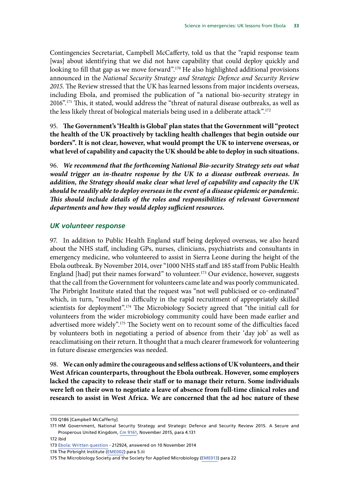<span id="page-36-0"></span>Contingencies Secretariat, Campbell McCafferty, told us that the "rapid response team [was] about identifying that we did not have capability that could deploy quickly and looking to fill that gap as we move forward".<sup>170</sup> He also highlighted additional provisions announced in the *National Security Strategy and Strategic Defence and Security Review 2015*. The Review stressed that the UK has learned lessons from major incidents overseas, including Ebola, and promised the publication of "a national bio-security strategy in 2016".171 This, it stated, would address the "threat of natural disease outbreaks, as well as the less likely threat of biological materials being used in a deliberate attack".<sup>172</sup>

<span id="page-36-1"></span>95. **The Government's 'Health is Global' plan states that the Government will "protect the health of the UK proactively by tackling health challenges that begin outside our borders". It is not clear, however, what would prompt the UK to intervene overseas, or what level of capability and capacity the UK should be able to deploy in such situations.**

<span id="page-36-2"></span>96. *We recommend that the forthcoming National Bio-security Strategy sets out what would trigger an in-theatre response by the UK to a disease outbreak overseas. In addition, the Strategy should make clear what level of capability and capacity the UK should be readily able to deploy overseas in the event of a disease epidemic or pandemic. This should include details of the roles and responsibilities of relevant Government departments and how they would deploy sufficient resources.*

#### *UK volunteer response*

97. In addition to Public Health England staff being deployed overseas, we also heard about the NHS staff, including GPs, nurses, clinicians, psychiatrists and consultants in emergency medicine, who volunteered to assist in Sierra Leone during the height of the Ebola outbreak. By November 2014, over "1000 NHS staff and 185 staff from Public Health England [had] put their names forward" to volunteer.<sup>173</sup> Our evidence, however, suggests that the call from the Government for volunteers came late and was poorly communicated. The Pirbright Institute stated that the request was "not well publicised or co-ordinated" which, in turn, "resulted in difficulty in the rapid recruitment of appropriately skilled scientists for deployment".<sup>174</sup> The Microbiology Society agreed that "the initial call for volunteers from the wider microbiology community could have been made earlier and advertised more widely".175 The Society went on to recount some of the difficulties faced by volunteers both in negotiating a period of absence from their 'day job' as well as reacclimatising on their return. It thought that a much clearer framework for volunteering in future disease emergencies was needed.

<span id="page-36-3"></span>98. **We can only admire the courageous and selfless actions of UK volunteers, and their West African counterparts, throughout the Ebola outbreak. However, some employers lacked the capacity to release their staff or to manage their return. Some individuals were left on their own to negotiate a leave of absence from full-time clinical roles and research to assist in West Africa. We are concerned that the ad hoc nature of these** 

172 ibid

<sup>170</sup> Q186 [Campbell McCafferty]

<sup>171</sup> HM Government, National Security Strategy and Strategic Defence and Security Review 2015. A Secure and Prosperous United Kingdom, [Cm 9161,](https://www.gov.uk/government/uploads/system/uploads/attachment_data/file/478933/52309_Cm_9161_NSS_SD_Review_web_only.pdf) November 2015, para 4.131

<sup>173</sup> [Ebola: Written question](http://www.parliament.uk/written-questions-answers-statements/written-question/commons/2014-11-03/212924) - 212924, answered on 10 November 2014

<sup>174</sup> The Pirbright Institute ([EME002](http://data.parliament.uk/writtenevidence/committeeevidence.svc/evidencedocument/science-and-technology-committee/science-in-emergencies/written/19691.html)) para 5.iii

<sup>175</sup> The Microbiology Society and the Society for Applied Microbiology ([EME013\)](http://data.parliament.uk/writtenevidence/committeeevidence.svc/evidencedocument/science-and-technology-committee/science-in-emergencies/written/21586.html) para 22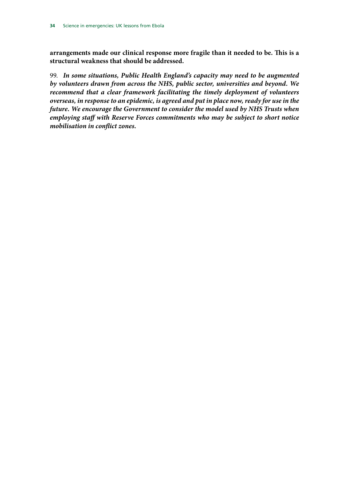**arrangements made our clinical response more fragile than it needed to be. This is a structural weakness that should be addressed.**

<span id="page-37-0"></span>99. *In some situations, Public Health England's capacity may need to be augmented by volunteers drawn from across the NHS, public sector, universities and beyond. We recommend that a clear framework facilitating the timely deployment of volunteers overseas, in response to an epidemic, is agreed and put in place now, ready for use in the future. We encourage the Government to consider the model used by NHS Trusts when employing staff with Reserve Forces commitments who may be subject to short notice mobilisation in conflict zones.*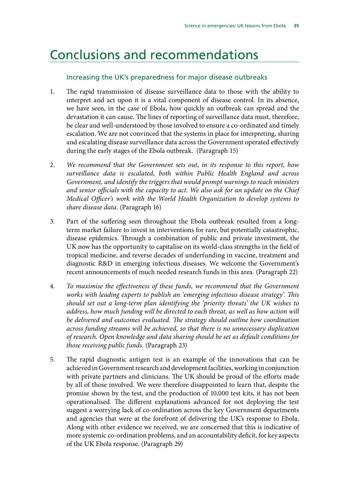### <span id="page-38-0"></span>Conclusions and recommendations

#### Increasing the UK's preparedness for major disease outbreaks

- 1. [The rapid transmission of disease surveillance data to those with the ability to](#page-14-1) [interpret and act upon it is a vital component of disease control. In its absence,](#page-14-1) [we have seen, in the case of Ebola, how quickly an outbreak can spread and the](#page-14-1) [devastation it can cause. The lines of reporting of surveillance data must, therefore,](#page-14-1) [be clear and well-understood by those involved to ensure a co-ordinated and timely](#page-14-1) [escalation. We are not convinced that the systems in place for interpreting, sharing](#page-14-1) [and escalating disease surveillance data across the Government operated effectively](#page-14-1) [during the early stages of the Ebola outbreak.](#page-14-1) (Paragraph 15)
- 2. *[We recommend that the Government sets out, in its response to this report, how](#page-14-2) [surveillance data is escalated, both within Public Health England and across](#page-14-2) [Government, and identify the triggers that would prompt warnings to reach ministers](#page-14-2) [and senior officials with the capacity to act. We also ask for an update on the Chief](#page-14-2) [Medical Officer's work with the World Health Organization to develop systems to](#page-14-2) [share disease data.](#page-14-2)* (Paragraph 16)
- 3. [Part of the suffering seen throughout the Ebola outbreak resulted from a long](#page-16-1)[term market failure to invest in interventions for rare, but potentially catastrophic,](#page-16-1) [disease epidemics. Through a combination of public and private investment, the](#page-16-1) [UK now has the opportunity to capitalise on its world-class strengths in the field of](#page-16-1) [tropical medicine, and reverse decades of underfunding in vaccine, treatment and](#page-16-1) [diagnostic R&D in emerging infectious diseases. We welcome the Government's](#page-16-1) [recent announcements of much needed research funds in this area.](#page-16-1) (Paragraph 22)
- 4. *[To maximise the effectiveness of these funds, we recommend that the Government](#page-16-2) [works with leading experts to publish an 'emerging infectious disease strategy'. This](#page-16-2) [should set out a long-term plan identifying the 'priority threats' the UK wishes to](#page-16-2) [address, how much funding will be directed to each threat, as well as how action will](#page-16-2) [be delivered and outcomes evaluated. The strategy should outline how coordination](#page-16-2) [across funding streams will be achieved, so that there is no unnecessary duplication](#page-16-2) [of research. Open knowledge and data sharing should be set as default conditions for](#page-16-2) [those receiving public funds.](#page-16-2)* (Paragraph 23)
- 5. [The rapid diagnostic antigen test is an example of the innovations that can be](#page-18-1) [achieved in Government research and development facilities, working in conjunction](#page-18-1) [with private partners and clinicians. The UK should be proud of the efforts made](#page-18-1) [by all of those involved. We were therefore disappointed to learn that, despite the](#page-18-1) [promise shown by the test, and the production of 10,000 test kits, it has not been](#page-18-1) [operationalised. The different explanations advanced for not deploying the test](#page-18-1) [suggest a worrying lack of co-ordination across the key Government departments](#page-18-1) [and agencies that were at the forefront of delivering the UK's response to Ebola.](#page-18-1) [Along with other evidence we received, we are concerned that this is indicative of](#page-18-1) [more systemic co-ordination problems, and an accountability deficit, for key aspects](#page-18-1) [of the UK Ebola response.](#page-18-1) (Paragraph 29)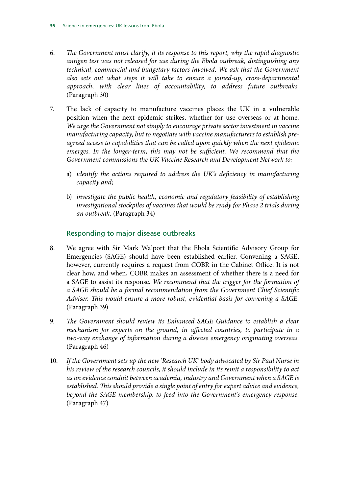- 6. *[The Government must clarify, it its response to this report, why the rapid diagnostic](#page-18-2) [antigen test was not released for use during the Ebola outbreak, distinguishing any](#page-18-2) [technical, commercial and budgetary factors involved. We ask that the Government](#page-18-2) [also sets out what steps it will take to ensure a joined-up, cross-departmental](#page-18-2) [approach, with clear lines of accountability, to address future outbreaks.](#page-18-2)* (Paragraph 30)
- 7. [The lack of capacity to manufacture vaccines places the UK in a vulnerable](#page-19-0) [position when the next epidemic strikes, whether for use overseas or at home.](#page-19-0) *[We urge the Government not simply to encourage private sector investment in vaccine](#page-19-1) [manufacturing capacity, but to negotiate with vaccine manufacturers to establish pre](#page-19-1)[agreed access to capabilities that can be called upon quickly when the next epidemic](#page-19-1) [emerges. In the longer-term, this may not be sufficient. We recommend that the](#page-19-1) [Government commissions the UK Vaccine Research and Development Network to:](#page-19-1)*
	- a) *[identify the actions required to address the UK's deficiency in manufacturing](#page-19-2) [capacity and;](#page-19-2)*
	- b) *[investigate the public health, economic and regulatory feasibility of establishing](#page-19-3) [investigational stockpiles of vaccines that would be ready for Phase 2 trials during](#page-19-3) [an outbreak.](#page-19-3)* (Paragraph 34)

#### Responding to major disease outbreaks

- 8. [We agree with Sir Mark Walport that the Ebola Scientific Advisory Group for](#page-21-1) [Emergencies \(SAGE\) should have been established earlier. Convening a SAGE,](#page-21-1) [however, currently requires a request from COBR in the Cabinet Office. It is not](#page-21-1) [clear how, and when, COBR makes an assessment of whether there is a need for](#page-21-1) [a SAGE to assist its response.](#page-21-1) *[We recommend that the trigger for the formation of](#page-21-2) [a SAGE should be a formal recommendation from the Government Chief Scientific](#page-21-2) [Adviser. This would ensure a more robust, evidential basis for convening a SAGE.](#page-21-2)* (Paragraph 39)
- 9. *[The Government should review its Enhanced SAGE Guidance to establish a clear](#page-22-0) [mechanism for experts on the ground, in affected countries, to participate in a](#page-22-0) [two-way exchange of information during a disease emergency originating overseas.](#page-22-0)* (Paragraph 46)
- 10. *[If the Government sets up the new 'Research UK' body advocated by Sir Paul Nurse in](#page-23-1) [his review of the research councils, it should include in its remit a responsibility to act](#page-23-1) [as an evidence conduit between academia, industry and Government when a SAGE is](#page-23-1) [established. This should provide a single point of entry for expert advice and evidence,](#page-23-1) [beyond the SAGE membership, to feed into the Government's emergency response.](#page-23-1)* (Paragraph 47)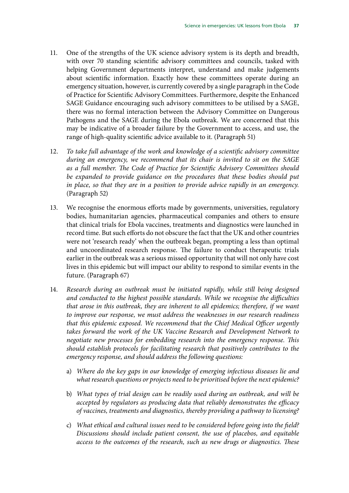- 11. [One of the strengths of the UK science advisory system is its depth and breadth,](#page-24-1) [with over 70 standing scientific advisory committees and councils, tasked with](#page-24-1) [helping Government departments interpret, understand and make judgements](#page-24-1) [about scientific information. Exactly how these committees operate during an](#page-24-1) [emergency situation, however, is currently covered by a single paragraph in the Code](#page-24-1) [of Practice for Scientific Advisory Committees. Furthermore, despite the Enhanced](#page-24-1) [SAGE Guidance encouraging such advisory committees to be utilised by a SAGE,](#page-24-1) [there was no formal interaction between the Advisory Committee on Dangerous](#page-24-1) [Pathogens and the SAGE during the Ebola outbreak. We are concerned that this](#page-24-1) [may be indicative of a broader failure by the Government to access, and use, the](#page-24-1) [range of high-quality scientific advice available to it.](#page-24-1) (Paragraph 51)
- 12. *[To take full advantage of the work and knowledge of a scientific advisory committee](#page-24-2) [during an emergency, we recommend that its chair is invited to sit on the SAGE](#page-24-2) [as a full member. The Code of Practice for Scientific Advisory Committees should](#page-24-2) [be expanded to provide guidance on the procedures that these bodies should put](#page-24-2) [in place, so that they are in a position to provide advice rapidly in an emergency.](#page-24-2)* (Paragraph 52)
- 13. [We recognise the enormous efforts made by governments, universities, regulatory](#page-28-0) [bodies, humanitarian agencies, pharmaceutical companies and others to ensure](#page-28-0) [that clinical trials for Ebola vaccines, treatments and diagnostics were launched in](#page-28-0) [record time. But such efforts do not obscure the fact that the UK and other countries](#page-28-0) [were not 'research ready' when the outbreak began, prompting a less than optimal](#page-28-0) [and uncoordinated research response. The failure to conduct therapeutic trials](#page-28-0) [earlier in the outbreak was a serious missed opportunity that will not only have cost](#page-28-0) [lives in this epidemic but will impact our ability to respond to similar events in the](#page-28-0) [future.](#page-28-0) (Paragraph 67)
- 14. *[Research during an outbreak must be initiated rapidly, while still being designed](#page-28-1) [and conducted to the highest possible standards. While we recognise the difficulties](#page-28-1) [that arose in this outbreak, they are inherent to all epidemics; therefore, if we want](#page-28-1) [to improve our response, we must address the weaknesses in our research readiness](#page-28-1) [that this epidemic exposed. We recommend that the Chief Medical Officer urgently](#page-28-1) [takes forward the work of the UK Vaccine Research and Development Network to](#page-28-1) [negotiate new processes for embedding research into the emergency response. This](#page-28-1) [should establish protocols for facilitating research that positively contributes to the](#page-28-1) [emergency response, and should address the following questions:](#page-28-1)*
	- a) *[Where do the key gaps in our knowledge of emerging infectious diseases lie and](#page-28-2) [what research questions or projects need to be prioritised before the next epidemic?](#page-28-2)*
	- b) *[What types of trial design can be readily used during an outbreak, and will be](#page-28-3) [accepted by regulators as producing data that reliably demonstrates the efficacy](#page-28-3) [of vaccines, treatments and diagnostics, thereby providing a pathway to licensing?](#page-28-3)*
	- c) *[What ethical and cultural issues need to be considered before going into the field?](#page-29-1) [Discussions should include patient consent, the use of placebos, and equitable](#page-29-1) [access to the outcomes of the research, such as new drugs or diagnostics. These](#page-29-1)*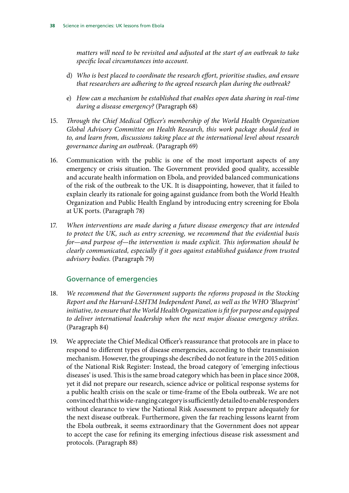*[matters will need to be revisited and adjusted at the start of an outbreak to take](#page-29-1) [specific local circumstances into account.](#page-29-1)*

- d) *[Who is best placed to coordinate the research effort, prioritise studies, and ensure](#page-29-2) [that researchers are adhering to the agreed research plan during the outbreak?](#page-29-2)*
- e) *[How can a mechanism be established that enables open data sharing in real-time](#page-29-3) [during a disease emergency?](#page-29-3)* (Paragraph 68)
- 15. *[Through the Chief Medical Officer's membership of the World Health Organization](#page-29-4) [Global Advisory Committee on Health Research, this work package should feed in](#page-29-4) [to, and learn from, discussions taking place at the international level about research](#page-29-4) [governance during an outbreak.](#page-29-4)* (Paragraph 69)
- 16. [Communication with the public is one of the most important aspects of any](#page-31-0) [emergency or crisis situation. The Government provided good quality, accessible](#page-31-0) [and accurate health information on Ebola, and provided balanced communications](#page-31-0) [of the risk of the outbreak to the UK. It is disappointing, however, that it failed to](#page-31-0) [explain clearly its rationale for going against guidance from both the World Health](#page-31-0) [Organization and Public Health England by introducing entry screening for Ebola](#page-31-0) [at UK ports.](#page-31-0) (Paragraph 78)
- 17. *[When interventions are made during a future disease emergency that are intended](#page-31-1) [to protect the UK, such as entry screening, we recommend that the evidential basis](#page-31-1) [for—and purpose of—the intervention is made explicit. This information should be](#page-31-1) [clearly communicated, especially if it goes against established guidance from trusted](#page-31-1) [advisory bodies.](#page-31-1)* (Paragraph 79)

#### Governance of emergencies

- 18. *[We recommend that the Government supports the reforms proposed in the Stocking](#page-33-1) [Report and the Harvard-LSHTM Independent Panel, as well as the WHO 'Blueprint'](#page-33-1) [initiative, to ensure that the World Health Organization is fit for purpose and equipped](#page-33-1) [to deliver international leadership when the next major disease emergency strikes.](#page-33-1)* (Paragraph 84)
- 19. [We appreciate the Chief Medical Officer's reassurance that protocols are in place to](#page-34-1) [respond to different types of disease emergencies, according to their transmission](#page-34-1) [mechanism. However, the groupings she described do not feature in the 2015 edition](#page-34-1) [of the National Risk Register: Instead, the broad category of 'emerging infectious](#page-34-1) [diseases' is used. This is the same broad category which has been in place since 2008,](#page-34-1) [yet it did not prepare our research, science advice or political response systems for](#page-34-1) [a public health crisis on the scale or time-frame of the Ebola outbreak. We are not](#page-34-1) [convinced that this wide-ranging category is sufficiently detailed to enable responders](#page-34-1) [without clearance to view the National Risk Assessment to prepare adequately for](#page-34-1) [the next disease outbreak. Furthermore, given the far reaching lessons learnt from](#page-34-1) [the Ebola outbreak, it seems extraordinary that the Government does not appear](#page-34-1) [to accept the case for refining its emerging infectious disease risk assessment and](#page-34-1) [protocols.](#page-34-1) (Paragraph 88)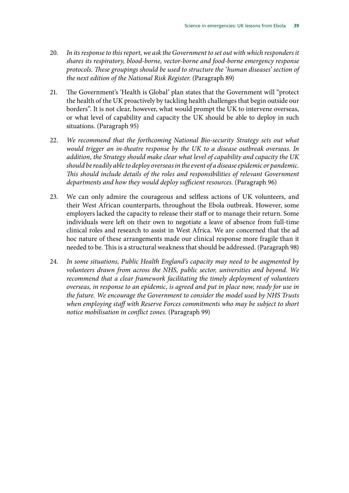- 20. *[In its response to this report, we ask the Government to set out with which responders it](#page-34-2) [shares its respiratory, blood-borne, vector-borne and food-borne emergency response](#page-34-2) [protocols. These groupings should be used to structure the 'human diseases' section of](#page-34-2) [the next edition of the National Risk Register.](#page-34-2)* (Paragraph 89)
- 21. [The Government's 'Health is Global' plan states that the Government will "protect](#page-36-1) [the health of the UK proactively by tackling health challenges that begin outside our](#page-36-1) [borders". It is not clear, however, what would prompt the UK to intervene overseas,](#page-36-1) [or what level of capability and capacity the UK should be able to deploy in such](#page-36-1) [situations.](#page-36-1) (Paragraph 95)
- 22. *[We recommend that the forthcoming National Bio-security Strategy sets out what](#page-36-2) [would trigger an in-theatre response by the UK to a disease outbreak overseas. In](#page-36-2) [addition, the Strategy should make clear what level of capability and capacity the UK](#page-36-2) [should be readily able to deploy overseas in the event of a disease epidemic or pandemic.](#page-36-2) [This should include details of the roles and responsibilities of relevant Government](#page-36-2) [departments and how they would deploy sufficient resources.](#page-36-2)* (Paragraph 96)
- 23. [We can only admire the courageous and selfless actions of UK volunteers, and](#page-36-3) [their West African counterparts, throughout the Ebola outbreak. However, some](#page-36-3) [employers lacked the capacity to release their staff or to manage their return. Some](#page-36-3) [individuals were left on their own to negotiate a leave of absence from full-time](#page-36-3) [clinical roles and research to assist in West Africa. We are concerned that the ad](#page-36-3) [hoc nature of these arrangements made our clinical response more fragile than it](#page-36-3) [needed to be. This is a structural weakness that should be addressed.](#page-36-3) (Paragraph 98)
- 24. *[In some situations, Public Health England's capacity may need to be augmented by](#page-37-0) [volunteers drawn from across the NHS, public sector, universities and beyond. We](#page-37-0) [recommend that a clear framework facilitating the timely deployment of volunteers](#page-37-0) [overseas, in response to an epidemic, is agreed and put in place now, ready for use in](#page-37-0) [the future. We encourage the Government to consider the model used by NHS Trusts](#page-37-0) [when employing staff with Reserve Forces commitments who may be subject to short](#page-37-0) [notice mobilisation in conflict zones.](#page-37-0)* (Paragraph 99)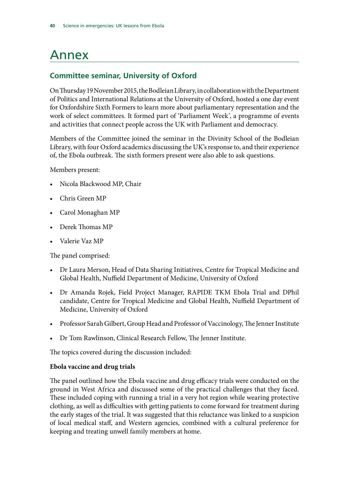# <span id="page-43-0"></span>Annex

#### **Committee seminar, University of Oxford**

On Thursday 19 November 2015, the Bodleian Library, in collaboration with the Department of Politics and International Relations at the University of Oxford, hosted a one day event for Oxfordshire Sixth Formers to learn more about parliamentary representation and the work of select committees. It formed part of 'Parliament Week', a programme of events and activities that connect people across the UK with Parliament and democracy.

Members of the Committee joined the seminar in the Divinity School of the Bodleian Library, with four Oxford academics discussing the UK's response to, and their experience of, the Ebola outbreak. The sixth formers present were also able to ask questions.

Members present:

- Nicola Blackwood MP, Chair
- Chris Green MP
- Carol Monaghan MP
- Derek Thomas MP
- Valerie Vaz MP

The panel comprised:

- Dr Laura Merson, Head of Data Sharing Initiatives, Centre for Tropical Medicine and Global Health, Nuffield Department of Medicine, University of Oxford
- Dr Amanda Rojek, Field Project Manager, RAPIDE TKM Ebola Trial and DPhil candidate, Centre for Tropical Medicine and Global Health, Nuffield Department of Medicine, University of Oxford
- Professor Sarah Gilbert, Group Head and Professor of Vaccinology, The Jenner Institute
- Dr Tom Rawlinson, Clinical Research Fellow, The Jenner Institute.

The topics covered during the discussion included:

#### **Ebola vaccine and drug trials**

The panel outlined how the Ebola vaccine and drug efficacy trials were conducted on the ground in West Africa and discussed some of the practical challenges that they faced. These included coping with running a trial in a very hot region while wearing protective clothing, as well as difficulties with getting patients to come forward for treatment during the early stages of the trial. It was suggested that this reluctance was linked to a suspicion of local medical staff, and Western agencies, combined with a cultural preference for keeping and treating unwell family members at home.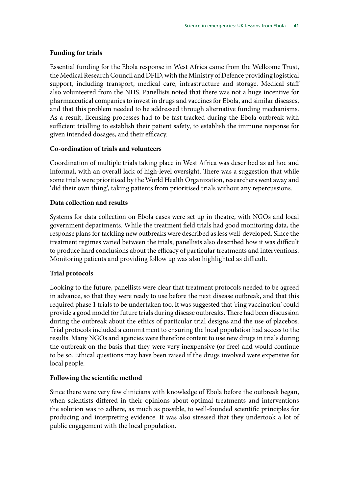#### **Funding for trials**

Essential funding for the Ebola response in West Africa came from the Wellcome Trust, the Medical Research Council and DFID, with the Ministry of Defence providing logistical support, including transport, medical care, infrastructure and storage. Medical staff also volunteered from the NHS. Panellists noted that there was not a huge incentive for pharmaceutical companies to invest in drugs and vaccines for Ebola, and similar diseases, and that this problem needed to be addressed through alternative funding mechanisms. As a result, licensing processes had to be fast-tracked during the Ebola outbreak with sufficient trialling to establish their patient safety, to establish the immune response for given intended dosages, and their efficacy.

#### **Co-ordination of trials and volunteers**

Coordination of multiple trials taking place in West Africa was described as ad hoc and informal, with an overall lack of high-level oversight. There was a suggestion that while some trials were prioritised by the World Health Organization, researchers went away and 'did their own thing', taking patients from prioritised trials without any repercussions.

#### **Data collection and results**

Systems for data collection on Ebola cases were set up in theatre, with NGOs and local government departments. While the treatment field trials had good monitoring data, the response plans for tackling new outbreaks were described as less well-developed. Since the treatment regimes varied between the trials, panellists also described how it was difficult to produce hard conclusions about the efficacy of particular treatments and interventions. Monitoring patients and providing follow up was also highlighted as difficult.

#### **Trial protocols**

Looking to the future, panellists were clear that treatment protocols needed to be agreed in advance, so that they were ready to use before the next disease outbreak, and that this required phase 1 trials to be undertaken too. It was suggested that 'ring vaccination' could provide a good model for future trials during disease outbreaks. There had been discussion during the outbreak about the ethics of particular trial designs and the use of placebos. Trial protocols included a commitment to ensuring the local population had access to the results. Many NGOs and agencies were therefore content to use new drugs in trials during the outbreak on the basis that they were very inexpensive (or free) and would continue to be so. Ethical questions may have been raised if the drugs involved were expensive for local people.

#### **Following the scientific method**

Since there were very few clinicians with knowledge of Ebola before the outbreak began, when scientists differed in their opinions about optimal treatments and interventions the solution was to adhere, as much as possible, to well-founded scientific principles for producing and interpreting evidence. It was also stressed that they undertook a lot of public engagement with the local population.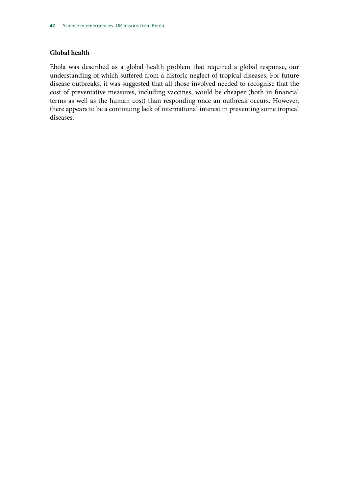#### **Global health**

Ebola was described as a global health problem that required a global response, our understanding of which suffered from a historic neglect of tropical diseases. For future disease outbreaks, it was suggested that all those involved needed to recognise that the cost of preventative measures, including vaccines, would be cheaper (both in financial terms as well as the human cost) than responding once an outbreak occurs. However, there appears to be a continuing lack of international interest in preventing some tropical diseases.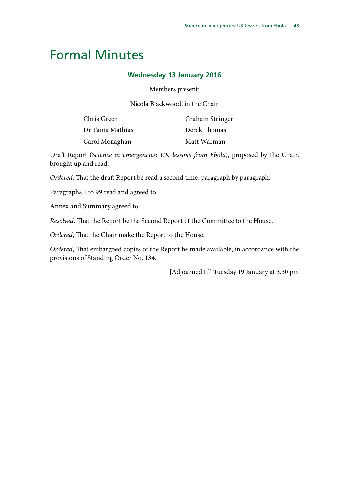### <span id="page-46-0"></span>Formal Minutes

#### **Wednesday 13 January 2016**

Members present:

Nicola Blackwood, in the Chair

| Chris Green      | Graham Stringer |
|------------------|-----------------|
| Dr Tania Mathias | Derek Thomas    |
| Carol Monaghan   | Matt Warman     |

Draft Report (*Science in emergencies: UK lessons from Ebola*), proposed by the Chair, brought up and read.

*Ordered*, That the draft Report be read a second time, paragraph by paragraph.

Paragraphs 1 to 99 read and agreed to.

Annex and Summary agreed to.

*Resolved*, That the Report be the Second Report of the Committee to the House.

*Ordered*, That the Chair make the Report to the House.

*Ordered*, That embargoed copies of the Report be made available, in accordance with the provisions of Standing Order No. 134.

[Adjourned till Tuesday 19 January at 3.30 pm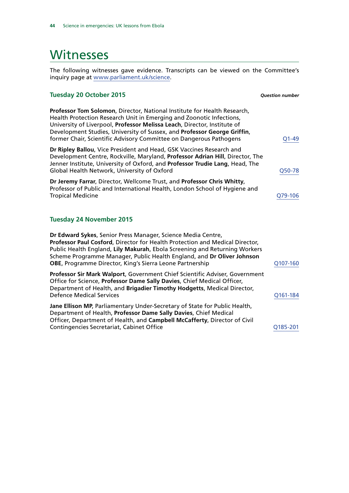### <span id="page-47-0"></span>**Witnesses**

The following witnesses gave evidence. Transcripts can be viewed on the Committee's inquiry page at [www.parliament.uk/science](http://www.parliament.uk/science).

| <b>Tuesday 20 October 2015</b>                                                                                                                                                                                                                                                                                                                                                 | <b>Ouestion number</b> |
|--------------------------------------------------------------------------------------------------------------------------------------------------------------------------------------------------------------------------------------------------------------------------------------------------------------------------------------------------------------------------------|------------------------|
| Professor Tom Solomon, Director, National Institute for Health Research,<br>Health Protection Research Unit in Emerging and Zoonotic Infections,<br>University of Liverpool, Professor Melissa Leach, Director, Institute of<br>Development Studies, University of Sussex, and Professor George Griffin,<br>former Chair, Scientific Advisory Committee on Dangerous Pathogens | $Q1 - 49$              |
| Dr Ripley Ballou, Vice President and Head, GSK Vaccines Research and<br>Development Centre, Rockville, Maryland, Professor Adrian Hill, Director, The<br>Jenner Institute, University of Oxford, and Professor Trudie Lang, Head, The<br>Global Health Network, University of Oxford                                                                                           | Q50-78                 |
| Dr Jeremy Farrar, Director, Wellcome Trust, and Professor Chris Whitty,<br>Professor of Public and International Health, London School of Hygiene and<br><b>Tropical Medicine</b>                                                                                                                                                                                              | Q79-106                |
| <b>Tuesday 24 November 2015</b>                                                                                                                                                                                                                                                                                                                                                |                        |
| Dr Edward Sykes, Senior Press Manager, Science Media Centre,<br>Professor Paul Cosford, Director for Health Protection and Medical Director,<br>Public Health England, Lily Makurah, Ebola Screening and Returning Workers<br>Scheme Programme Manager, Public Health England, and Dr Oliver Johnson<br><b>OBE, Programme Director, King's Sierra Leone Partnership</b>        | Q107-160               |
| Professor Sir Mark Walport, Government Chief Scientific Adviser, Government<br>Office for Science, Professor Dame Sally Davies, Chief Medical Officer,<br>Department of Health, and Brigadier Timothy Hodgetts, Medical Director,<br><b>Defence Medical Services</b>                                                                                                           | Q161-184               |
| Jane Ellison MP, Parliamentary Under-Secretary of State for Public Health,<br>Department of Health, Professor Dame Sally Davies, Chief Medical<br>Officer, Department of Health, and Campbell McCafferty, Director of Civil<br>Contingencies Secretariat, Cabinet Office                                                                                                       | Q185-201               |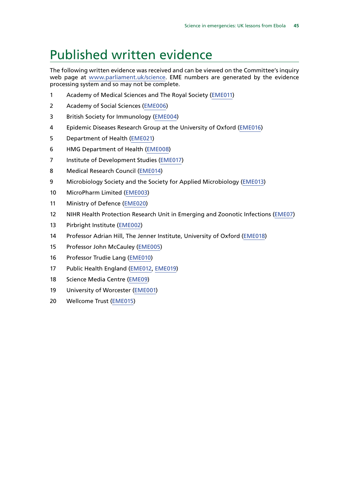### <span id="page-48-0"></span>Published written evidence

The following written evidence was received and can be viewed on the Committee's inquiry web page at [www.parliament.uk/science](http://www.parliament.uk/). EME numbers are generated by the evidence processing system and so may not be complete.

- Academy of Medical Sciences and The Royal Society [\(EME011\)](http://data.parliament.uk/WrittenEvidence/CommitteeEvidence.svc/EvidenceDocument/Science%20and%20Technology/Science%20in%20emergencies/written/21461.html)
- Academy of Social Sciences ([EME006](http://data.parliament.uk/WrittenEvidence/CommitteeEvidence.svc/EvidenceDocument/Science%20and%20Technology/Science%20in%20emergencies/written/21008.html))
- British Society for Immunology ([EME004\)](http://data.parliament.uk/WrittenEvidence/CommitteeEvidence.svc/EvidenceDocument/Science%20and%20Technology/Science%20in%20emergencies/written/20981.html)
- Epidemic Diseases Research Group at the University of Oxford ([EME016](http://data.parliament.uk/WrittenEvidence/CommitteeEvidence.svc/EvidenceDocument/Science%20and%20Technology/Science%20in%20emergencies/written/22362.html))
- Department of Health ([EME021\)](http://data.parliament.uk/writtenevidence/committeeevidence.svc/evidencedocument/science-and-technology-committee/science-in-emergencies/written/26646.html)
- HMG Department of Health [\(EME008](http://data.parliament.uk/WrittenEvidence/CommitteeEvidence.svc/EvidenceDocument/Science%20and%20Technology/Science%20in%20emergencies/written/21015.html))
- 7 Institute of Development Studies ([EME017\)](http://data.parliament.uk/WrittenEvidence/CommitteeEvidence.svc/EvidenceDocument/Science%20and%20Technology/Science%20in%20emergencies/written/22946.html)
- Medical Research Council ([EME014](http://data.parliament.uk/WrittenEvidence/CommitteeEvidence.svc/EvidenceDocument/Science%20and%20Technology/Science%20in%20emergencies/written/21648.html))
- Microbiology Society and the Society for Applied Microbiology ([EME013](http://data.parliament.uk/WrittenEvidence/CommitteeEvidence.svc/EvidenceDocument/Science%20and%20Technology/Science%20in%20emergencies/written/21586.html))
- MicroPharm Limited [\(EME003](http://data.parliament.uk/WrittenEvidence/CommitteeEvidence.svc/EvidenceDocument/Science%20and%20Technology/Science%20in%20emergencies/written/20139.html))
- Ministry of Defence ([EME020](http://data.parliament.uk/writtenevidence/committeeevidence.svc/evidencedocument/science-and-technology-committee/science-in-emergencies/written/26607.html))
- NIHR Health Protection Research Unit in Emerging and Zoonotic Infections [\(EME07](http://data.parliament.uk/WrittenEvidence/CommitteeEvidence.svc/EvidenceDocument/Science%20and%20Technology/Science%20in%20emergencies/written/21014.html))
- Pirbright Institute ([EME002\)](http://data.parliament.uk/WrittenEvidence/CommitteeEvidence.svc/EvidenceDocument/Science%20and%20Technology/Science%20in%20emergencies/written/19691.html)
- Professor Adrian Hill, The Jenner Institute, University of Oxford [\(EME018](http://data.parliament.uk/WrittenEvidence/CommitteeEvidence.svc/EvidenceDocument/Science%20and%20Technology/Science%20in%20emergencies/written/24962.html))
- Professor John McCauley ([EME005\)](http://data.parliament.uk/WrittenEvidence/CommitteeEvidence.svc/EvidenceDocument/Science%20and%20Technology/Science%20in%20emergencies/written/20986.html)
- Professor Trudie Lang ([EME010](http://data.parliament.uk/WrittenEvidence/CommitteeEvidence.svc/EvidenceDocument/Science%20and%20Technology/Science%20in%20emergencies/written/21114.html))
- Public Health England [\(EME012,](http://data.parliament.uk/WrittenEvidence/CommitteeEvidence.svc/EvidenceDocument/Science%20and%20Technology/Science%20in%20emergencies/written/21565.html) [EME019\)](http://data.parliament.uk/writtenevidence/committeeevidence.svc/evidencedocument/science-and-technology-committee/science-in-emergencies/written/26481.html)
- Science Media Centre [\(EME09\)](http://data.parliament.uk/WrittenEvidence/CommitteeEvidence.svc/EvidenceDocument/Science%20and%20Technology/Science%20in%20emergencies/written/21019.html)
- University of Worcester [\(EME001\)](http://data.parliament.uk/WrittenEvidence/CommitteeEvidence.svc/EvidenceDocument/Science%20and%20Technology/Science%20in%20emergencies/written/18796.html)
- Wellcome Trust [\(EME015\)](http://data.parliament.uk/WrittenEvidence/CommitteeEvidence.svc/EvidenceDocument/Science%20and%20Technology/Science%20in%20emergencies/written/22137.html)